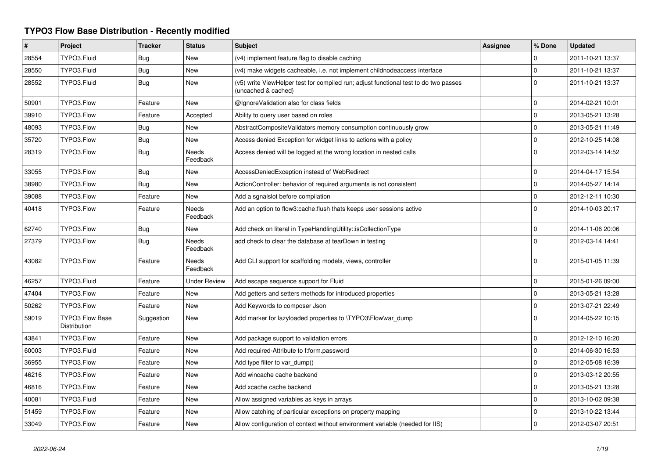## **TYPO3 Flow Base Distribution - Recently modified**

| $\vert$ # | Project                                | <b>Tracker</b> | <b>Status</b>            | <b>Subject</b>                                                                                              | <b>Assignee</b> | % Done       | <b>Updated</b>   |
|-----------|----------------------------------------|----------------|--------------------------|-------------------------------------------------------------------------------------------------------------|-----------------|--------------|------------------|
| 28554     | TYPO3.Fluid                            | Bug            | <b>New</b>               | (v4) implement feature flag to disable caching                                                              |                 | $\Omega$     | 2011-10-21 13:37 |
| 28550     | TYPO3.Fluid                            | Bug            | New                      | (v4) make widgets cacheable, i.e. not implement childnodeaccess interface                                   |                 | $\mathbf 0$  | 2011-10-21 13:37 |
| 28552     | TYPO3.Fluid                            | Bug            | <b>New</b>               | (v5) write ViewHelper test for compiled run; adjust functional test to do two passes<br>(uncached & cached) |                 | $\Omega$     | 2011-10-21 13:37 |
| 50901     | TYPO3.Flow                             | Feature        | New                      | @IgnoreValidation also for class fields                                                                     |                 | $\mathbf 0$  | 2014-02-21 10:01 |
| 39910     | TYPO3.Flow                             | Feature        | Accepted                 | Ability to query user based on roles                                                                        |                 | 0            | 2013-05-21 13:28 |
| 48093     | TYPO3.Flow                             | Bug            | <b>New</b>               | AbstractCompositeValidators memory consumption continuously grow                                            |                 | $\mathbf 0$  | 2013-05-21 11:49 |
| 35720     | TYPO3.Flow                             | <b>Bug</b>     | New                      | Access denied Exception for widget links to actions with a policy                                           |                 | $\mathbf 0$  | 2012-10-25 14:08 |
| 28319     | TYPO3.Flow                             | Bug            | <b>Needs</b><br>Feedback | Access denied will be logged at the wrong location in nested calls                                          |                 | $\Omega$     | 2012-03-14 14:52 |
| 33055     | TYPO3.Flow                             | <b>Bug</b>     | <b>New</b>               | AccessDeniedException instead of WebRedirect                                                                |                 | $\mathbf 0$  | 2014-04-17 15:54 |
| 38980     | TYPO3.Flow                             | Bug            | <b>New</b>               | ActionController: behavior of required arguments is not consistent                                          |                 | $\mathbf 0$  | 2014-05-27 14:14 |
| 39088     | TYPO3.Flow                             | Feature        | <b>New</b>               | Add a sgnalslot before compilation                                                                          |                 | 0            | 2012-12-11 10:30 |
| 40418     | TYPO3.Flow                             | Feature        | Needs<br>Feedback        | Add an option to flow3:cache: flush thats keeps user sessions active                                        |                 | $\Omega$     | 2014-10-03 20:17 |
| 62740     | TYPO3.Flow                             | Bug            | <b>New</b>               | Add check on literal in TypeHandlingUtility::isCollectionType                                               |                 | $\mathbf 0$  | 2014-11-06 20:06 |
| 27379     | TYPO3.Flow                             | Bug            | Needs<br>Feedback        | add check to clear the database at tearDown in testing                                                      |                 | $\Omega$     | 2012-03-14 14:41 |
| 43082     | TYPO3.Flow                             | Feature        | Needs<br>Feedback        | Add CLI support for scaffolding models, views, controller                                                   |                 | $\Omega$     | 2015-01-05 11:39 |
| 46257     | TYPO3.Fluid                            | Feature        | <b>Under Review</b>      | Add escape sequence support for Fluid                                                                       |                 | $\mathbf 0$  | 2015-01-26 09:00 |
| 47404     | TYPO3.Flow                             | Feature        | <b>New</b>               | Add getters and setters methods for introduced properties                                                   |                 | $\mathbf{0}$ | 2013-05-21 13:28 |
| 50262     | TYPO3.Flow                             | Feature        | <b>New</b>               | Add Keywords to composer Json                                                                               |                 | $\mathbf 0$  | 2013-07-21 22:49 |
| 59019     | <b>TYPO3 Flow Base</b><br>Distribution | Suggestion     | New                      | Add marker for lazyloaded properties to \TYPO3\Flow\var dump                                                |                 | $\Omega$     | 2014-05-22 10:15 |
| 43841     | TYPO3.Flow                             | Feature        | <b>New</b>               | Add package support to validation errors                                                                    |                 | $\mathbf 0$  | 2012-12-10 16:20 |
| 60003     | TYPO3.Fluid                            | Feature        | <b>New</b>               | Add required-Attribute to f:form.password                                                                   |                 | $\Omega$     | 2014-06-30 16:53 |
| 36955     | TYPO3.Flow                             | Feature        | <b>New</b>               | Add type filter to var_dump()                                                                               |                 | 0            | 2012-05-08 16:39 |
| 46216     | TYPO3.Flow                             | Feature        | <b>New</b>               | Add wincache cache backend                                                                                  |                 | $\mathbf 0$  | 2013-03-12 20:55 |
| 46816     | TYPO3.Flow                             | Feature        | <b>New</b>               | Add xcache cache backend                                                                                    |                 | $\mathbf 0$  | 2013-05-21 13:28 |
| 40081     | TYPO3.Fluid                            | Feature        | New                      | Allow assigned variables as keys in arrays                                                                  |                 | 0            | 2013-10-02 09:38 |
| 51459     | TYPO3.Flow                             | Feature        | <b>New</b>               | Allow catching of particular exceptions on property mapping                                                 |                 | $\mathbf 0$  | 2013-10-22 13:44 |
| 33049     | TYPO3.Flow                             | Feature        | <b>New</b>               | Allow configuration of context without environment variable (needed for IIS)                                |                 | $\Omega$     | 2012-03-07 20:51 |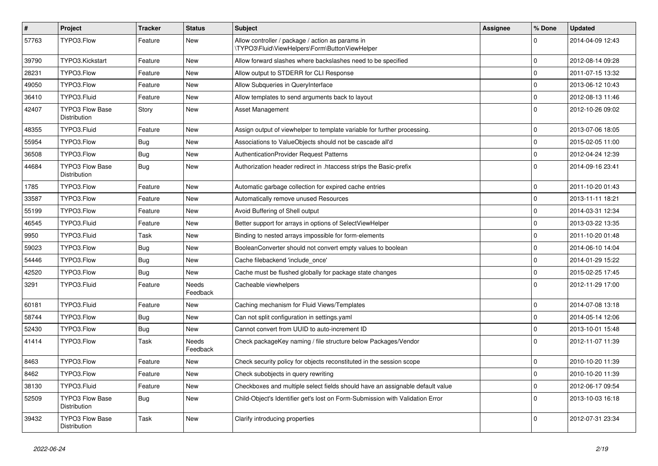| $\pmb{\#}$ | Project                                | <b>Tracker</b> | <b>Status</b>     | <b>Subject</b>                                                                                     | <b>Assignee</b> | % Done      | <b>Updated</b>   |
|------------|----------------------------------------|----------------|-------------------|----------------------------------------------------------------------------------------------------|-----------------|-------------|------------------|
| 57763      | TYPO3.Flow                             | Feature        | <b>New</b>        | Allow controller / package / action as params in<br>\TYPO3\Fluid\ViewHelpers\Form\ButtonViewHelper |                 | $\Omega$    | 2014-04-09 12:43 |
| 39790      | TYPO3.Kickstart                        | Feature        | <b>New</b>        | Allow forward slashes where backslashes need to be specified                                       |                 | $\Omega$    | 2012-08-14 09:28 |
| 28231      | TYPO3.Flow                             | Feature        | <b>New</b>        | Allow output to STDERR for CLI Response                                                            |                 | $\Omega$    | 2011-07-15 13:32 |
| 49050      | TYPO3.Flow                             | Feature        | <b>New</b>        | Allow Subqueries in QueryInterface                                                                 |                 | $\mathbf 0$ | 2013-06-12 10:43 |
| 36410      | TYPO3.Fluid                            | Feature        | <b>New</b>        | Allow templates to send arguments back to layout                                                   |                 | $\mathbf 0$ | 2012-08-13 11:46 |
| 42407      | <b>TYPO3 Flow Base</b><br>Distribution | Story          | <b>New</b>        | Asset Management                                                                                   |                 | $\Omega$    | 2012-10-26 09:02 |
| 48355      | TYPO3.Fluid                            | Feature        | <b>New</b>        | Assign output of viewhelper to template variable for further processing.                           |                 | $\Omega$    | 2013-07-06 18:05 |
| 55954      | TYPO3.Flow                             | <b>Bug</b>     | <b>New</b>        | Associations to ValueObjects should not be cascade all'd                                           |                 | $\Omega$    | 2015-02-05 11:00 |
| 36508      | TYPO3.Flow                             | <b>Bug</b>     | New               | <b>AuthenticationProvider Request Patterns</b>                                                     |                 | $\Omega$    | 2012-04-24 12:39 |
| 44684      | <b>TYPO3 Flow Base</b><br>Distribution | <b>Bug</b>     | <b>New</b>        | Authorization header redirect in .htaccess strips the Basic-prefix                                 |                 | $\Omega$    | 2014-09-16 23:41 |
| 1785       | TYPO3.Flow                             | Feature        | New               | Automatic garbage collection for expired cache entries                                             |                 | $\Omega$    | 2011-10-20 01:43 |
| 33587      | TYPO3.Flow                             | Feature        | <b>New</b>        | Automatically remove unused Resources                                                              |                 | $\mathbf 0$ | 2013-11-11 18:21 |
| 55199      | TYPO3.Flow                             | Feature        | <b>New</b>        | Avoid Buffering of Shell output                                                                    |                 | $\mathbf 0$ | 2014-03-31 12:34 |
| 46545      | TYPO3.Fluid                            | Feature        | New               | Better support for arrays in options of SelectViewHelper                                           |                 | $\mathbf 0$ | 2013-03-22 13:35 |
| 9950       | TYPO3.Fluid                            | Task           | <b>New</b>        | Binding to nested arrays impossible for form-elements                                              |                 | $\mathbf 0$ | 2011-10-20 01:48 |
| 59023      | TYPO3.Flow                             | <b>Bug</b>     | <b>New</b>        | BooleanConverter should not convert empty values to boolean                                        |                 | $\Omega$    | 2014-06-10 14:04 |
| 54446      | TYPO3.Flow                             | <b>Bug</b>     | <b>New</b>        | Cache filebackend 'include once'                                                                   |                 | $\mathbf 0$ | 2014-01-29 15:22 |
| 42520      | TYPO3.Flow                             | <b>Bug</b>     | <b>New</b>        | Cache must be flushed globally for package state changes                                           |                 | $\mathsf 0$ | 2015-02-25 17:45 |
| 3291       | TYPO3.Fluid                            | Feature        | Needs<br>Feedback | Cacheable viewhelpers                                                                              |                 | $\Omega$    | 2012-11-29 17:00 |
| 60181      | TYPO3.Fluid                            | Feature        | <b>New</b>        | Caching mechanism for Fluid Views/Templates                                                        |                 | $\Omega$    | 2014-07-08 13:18 |
| 58744      | TYPO3.Flow                             | <b>Bug</b>     | <b>New</b>        | Can not split configuration in settings yaml                                                       |                 | $\Omega$    | 2014-05-14 12:06 |
| 52430      | TYPO3.Flow                             | <b>Bug</b>     | <b>New</b>        | Cannot convert from UUID to auto-increment ID                                                      |                 | $\mathbf 0$ | 2013-10-01 15:48 |
| 41414      | TYPO3.Flow                             | Task           | Needs<br>Feedback | Check packageKey naming / file structure below Packages/Vendor                                     |                 | $\Omega$    | 2012-11-07 11:39 |
| 8463       | TYPO3.Flow                             | Feature        | <b>New</b>        | Check security policy for objects reconstituted in the session scope                               |                 | $\mathbf 0$ | 2010-10-20 11:39 |
| 8462       | TYPO3.Flow                             | Feature        | <b>New</b>        | Check subobjects in query rewriting                                                                |                 | $\mathbf 0$ | 2010-10-20 11:39 |
| 38130      | TYPO3.Fluid                            | Feature        | <b>New</b>        | Checkboxes and multiple select fields should have an assignable default value                      |                 | $\mathbf 0$ | 2012-06-17 09:54 |
| 52509      | <b>TYPO3 Flow Base</b><br>Distribution | <b>Bug</b>     | <b>New</b>        | Child-Object's Identifier get's lost on Form-Submission with Validation Error                      |                 | $\Omega$    | 2013-10-03 16:18 |
| 39432      | <b>TYPO3 Flow Base</b><br>Distribution | Task           | <b>New</b>        | Clarify introducing properties                                                                     |                 | $\Omega$    | 2012-07-31 23:34 |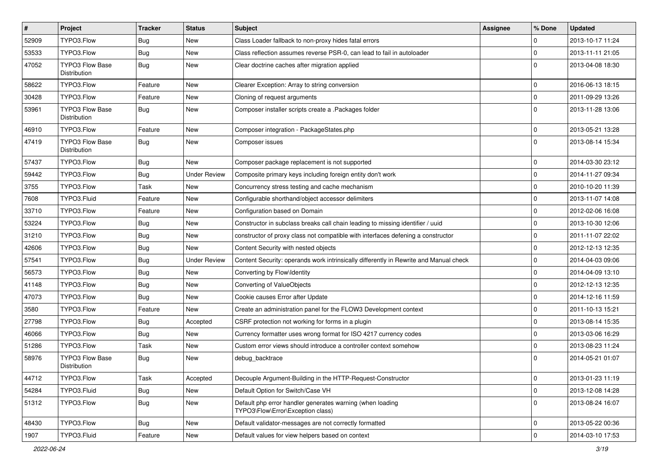| $\vert$ # | Project                                       | <b>Tracker</b> | <b>Status</b>       | Subject                                                                                        | <b>Assignee</b> | % Done         | <b>Updated</b>   |
|-----------|-----------------------------------------------|----------------|---------------------|------------------------------------------------------------------------------------------------|-----------------|----------------|------------------|
| 52909     | TYPO3.Flow                                    | <b>Bug</b>     | New                 | Class Loader fallback to non-proxy hides fatal errors                                          |                 | $\Omega$       | 2013-10-17 11:24 |
| 53533     | TYPO3.Flow                                    | <b>Bug</b>     | <b>New</b>          | Class reflection assumes reverse PSR-0, can lead to fail in autoloader                         |                 | $\overline{0}$ | 2013-11-11 21:05 |
| 47052     | <b>TYPO3 Flow Base</b><br>Distribution        | Bug            | New                 | Clear doctrine caches after migration applied                                                  |                 | l 0            | 2013-04-08 18:30 |
| 58622     | TYPO3.Flow                                    | Feature        | <b>New</b>          | Clearer Exception: Array to string conversion                                                  |                 | 0              | 2016-06-13 18:15 |
| 30428     | TYPO3.Flow                                    | Feature        | New                 | Cloning of request arguments                                                                   |                 | $\overline{0}$ | 2011-09-29 13:26 |
| 53961     | <b>TYPO3 Flow Base</b><br><b>Distribution</b> | Bug            | New                 | Composer installer scripts create a .Packages folder                                           |                 | l O            | 2013-11-28 13:06 |
| 46910     | TYPO3.Flow                                    | Feature        | New                 | Composer integration - PackageStates.php                                                       |                 | $\Omega$       | 2013-05-21 13:28 |
| 47419     | TYPO3 Flow Base<br>Distribution               | <b>Bug</b>     | <b>New</b>          | Composer issues                                                                                |                 | l O            | 2013-08-14 15:34 |
| 57437     | TYPO3.Flow                                    | <b>Bug</b>     | <b>New</b>          | Composer package replacement is not supported                                                  |                 | $\Omega$       | 2014-03-30 23:12 |
| 59442     | TYPO3.Flow                                    | <b>Bug</b>     | <b>Under Review</b> | Composite primary keys including foreign entity don't work                                     |                 | 0              | 2014-11-27 09:34 |
| 3755      | TYPO3.Flow                                    | Task           | <b>New</b>          | Concurrency stress testing and cache mechanism                                                 |                 | $\overline{0}$ | 2010-10-20 11:39 |
| 7608      | TYPO3.Fluid                                   | Feature        | New                 | Configurable shorthand/object accessor delimiters                                              |                 | 0              | 2013-11-07 14:08 |
| 33710     | TYPO3.Flow                                    | Feature        | New                 | Configuration based on Domain                                                                  |                 | 0              | 2012-02-06 16:08 |
| 53224     | TYPO3.Flow                                    | <b>Bug</b>     | New                 | Constructor in subclass breaks call chain leading to missing identifier / uuid                 |                 | $\Omega$       | 2013-10-30 12:06 |
| 31210     | TYPO3.Flow                                    | <b>Bug</b>     | New                 | constructor of proxy class not compatible with interfaces defening a constructor               |                 | $\mathbf 0$    | 2011-11-07 22:02 |
| 42606     | TYPO3.Flow                                    | Bug            | New                 | Content Security with nested objects                                                           |                 | 0              | 2012-12-13 12:35 |
| 57541     | TYPO3.Flow                                    | <b>Bug</b>     | <b>Under Review</b> | Content Security: operands work intrinsically differently in Rewrite and Manual check          |                 | $\mathbf 0$    | 2014-04-03 09:06 |
| 56573     | TYPO3.Flow                                    | <b>Bug</b>     | <b>New</b>          | Converting by Flow\Identity                                                                    |                 | $\overline{0}$ | 2014-04-09 13:10 |
| 41148     | TYPO3.Flow                                    | <b>Bug</b>     | New                 | Converting of ValueObjects                                                                     |                 | $\overline{0}$ | 2012-12-13 12:35 |
| 47073     | TYPO3.Flow                                    | <b>Bug</b>     | <b>New</b>          | Cookie causes Error after Update                                                               |                 | $\Omega$       | 2014-12-16 11:59 |
| 3580      | TYPO3.Flow                                    | Feature        | New                 | Create an administration panel for the FLOW3 Development context                               |                 | 0              | 2011-10-13 15:21 |
| 27798     | TYPO3.Flow                                    | <b>Bug</b>     | Accepted            | CSRF protection not working for forms in a plugin                                              |                 | $\mathbf 0$    | 2013-08-14 15:35 |
| 46066     | TYPO3.Flow                                    | Bug            | <b>New</b>          | Currency formatter uses wrong format for ISO 4217 currency codes                               |                 | l 0            | 2013-03-06 16:29 |
| 51286     | TYPO3.Flow                                    | Task           | New                 | Custom error views should introduce a controller context somehow                               |                 | $\mathbf 0$    | 2013-08-23 11:24 |
| 58976     | <b>TYPO3 Flow Base</b><br>Distribution        | <b>Bug</b>     | New                 | debug_backtrace                                                                                |                 | $\Omega$       | 2014-05-21 01:07 |
| 44712     | TYPO3.Flow                                    | Task           | Accepted            | Decouple Argument-Building in the HTTP-Request-Constructor                                     |                 | 0              | 2013-01-23 11:19 |
| 54284     | TYPO3.Fluid                                   | <b>Bug</b>     | New                 | Default Option for Switch/Case VH                                                              |                 | 0              | 2013-12-08 14:28 |
| 51312     | TYPO3.Flow                                    | <b>Bug</b>     | New                 | Default php error handler generates warning (when loading<br>TYPO3\Flow\Error\Exception class) |                 | 0              | 2013-08-24 16:07 |
| 48430     | TYPO3.Flow                                    | <b>Bug</b>     | New                 | Default validator-messages are not correctly formatted                                         |                 | 0              | 2013-05-22 00:36 |
| 1907      | TYPO3.Fluid                                   | Feature        | New                 | Default values for view helpers based on context                                               |                 | 0              | 2014-03-10 17:53 |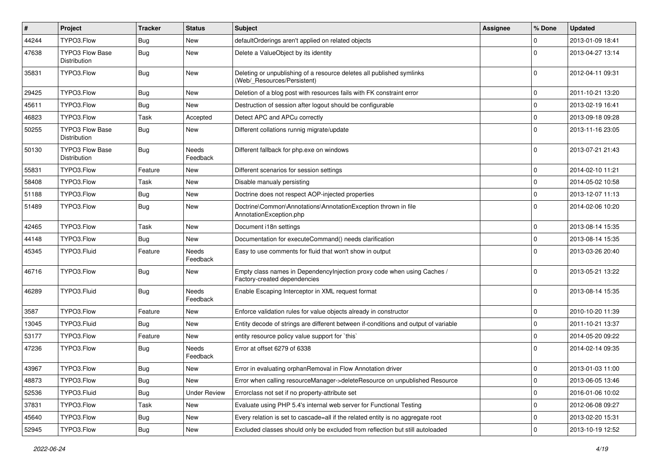| $\vert$ # | Project                                | <b>Tracker</b> | <b>Status</b>            | Subject                                                                                                 | <b>Assignee</b> | % Done      | <b>Updated</b>   |
|-----------|----------------------------------------|----------------|--------------------------|---------------------------------------------------------------------------------------------------------|-----------------|-------------|------------------|
| 44244     | TYPO3.Flow                             | <b>Bug</b>     | New                      | defaultOrderings aren't applied on related objects                                                      |                 | 0           | 2013-01-09 18:41 |
| 47638     | <b>TYPO3 Flow Base</b><br>Distribution | <b>Bug</b>     | New                      | Delete a ValueObject by its identity                                                                    |                 | $\Omega$    | 2013-04-27 13:14 |
| 35831     | TYPO3.Flow                             | Bug            | <b>New</b>               | Deleting or unpublishing of a resource deletes all published symlinks<br>(Web/_Resources/Persistent)    |                 | $\Omega$    | 2012-04-11 09:31 |
| 29425     | TYPO3.Flow                             | Bug            | <b>New</b>               | Deletion of a blog post with resources fails with FK constraint error                                   |                 | 0           | 2011-10-21 13:20 |
| 45611     | TYPO3.Flow                             | <b>Bug</b>     | <b>New</b>               | Destruction of session after logout should be configurable                                              |                 | 0           | 2013-02-19 16:41 |
| 46823     | TYPO3.Flow                             | Task           | Accepted                 | Detect APC and APCu correctly                                                                           |                 | $\mathbf 0$ | 2013-09-18 09:28 |
| 50255     | <b>TYPO3 Flow Base</b><br>Distribution | Bug            | New                      | Different collations runnig migrate/update                                                              |                 | $\Omega$    | 2013-11-16 23:05 |
| 50130     | <b>TYPO3 Flow Base</b><br>Distribution | Bug            | Needs<br>Feedback        | Different fallback for php.exe on windows                                                               |                 | $\Omega$    | 2013-07-21 21:43 |
| 55831     | TYPO3.Flow                             | Feature        | <b>New</b>               | Different scenarios for session settings                                                                |                 | $\mathbf 0$ | 2014-02-10 11:21 |
| 58408     | TYPO3.Flow                             | Task           | New                      | Disable manualy persisting                                                                              |                 | 0           | 2014-05-02 10:58 |
| 51188     | TYPO3.Flow                             | <b>Bug</b>     | New                      | Doctrine does not respect AOP-injected properties                                                       |                 | 0           | 2013-12-07 11:13 |
| 51489     | TYPO3.Flow                             | Bug            | New                      | Doctrine\Common\Annotations\AnnotationException thrown in file<br>AnnotationException.php               |                 | $\Omega$    | 2014-02-06 10:20 |
| 42465     | TYPO3.Flow                             | Task           | <b>New</b>               | Document i18n settings                                                                                  |                 | 0           | 2013-08-14 15:35 |
| 44148     | TYPO3.Flow                             | <b>Bug</b>     | New                      | Documentation for executeCommand() needs clarification                                                  |                 | $\mathbf 0$ | 2013-08-14 15:35 |
| 45345     | TYPO3.Fluid                            | Feature        | Needs<br>Feedback        | Easy to use comments for fluid that won't show in output                                                |                 | $\Omega$    | 2013-03-26 20:40 |
| 46716     | TYPO3.Flow                             | Bug            | <b>New</b>               | Empty class names in Dependencylnjection proxy code when using Caches /<br>Factory-created dependencies |                 | $\Omega$    | 2013-05-21 13:22 |
| 46289     | TYPO3.Fluid                            | Bug            | <b>Needs</b><br>Feedback | Enable Escaping Interceptor in XML request format                                                       |                 | $\Omega$    | 2013-08-14 15:35 |
| 3587      | TYPO3.Flow                             | Feature        | New                      | Enforce validation rules for value objects already in constructor                                       |                 | 0           | 2010-10-20 11:39 |
| 13045     | TYPO3.Fluid                            | <b>Bug</b>     | New                      | Entity decode of strings are different between if-conditions and output of variable                     |                 | 0           | 2011-10-21 13:37 |
| 53177     | TYPO3.Flow                             | Feature        | <b>New</b>               | entity resource policy value support for 'this'                                                         |                 | 0           | 2014-05-20 09:22 |
| 47236     | TYPO3.Flow                             | <b>Bug</b>     | <b>Needs</b><br>Feedback | Error at offset 6279 of 6338                                                                            |                 | $\Omega$    | 2014-02-14 09:35 |
| 43967     | TYPO3.Flow                             | <b>Bug</b>     | New                      | Error in evaluating orphanRemoval in Flow Annotation driver                                             |                 | $\mathbf 0$ | 2013-01-03 11:00 |
| 48873     | TYPO3.Flow                             | <b>Bug</b>     | New                      | Error when calling resourceManager->deleteResource on unpublished Resource                              |                 | 0           | 2013-06-05 13:46 |
| 52536     | TYPO3.Fluid                            | <b>Bug</b>     | <b>Under Review</b>      | Errorclass not set if no property-attribute set                                                         |                 | 0           | 2016-01-06 10:02 |
| 37831     | TYPO3.Flow                             | Task           | New                      | Evaluate using PHP 5.4's internal web server for Functional Testing                                     |                 | $\mathbf 0$ | 2012-06-08 09:27 |
| 45640     | TYPO3.Flow                             | <b>Bug</b>     | New                      | Every relation is set to cascade=all if the related entity is no aggregate root                         |                 | 0           | 2013-02-20 15:31 |
| 52945     | TYPO3.Flow                             | Bug            | New                      | Excluded classes should only be excluded from reflection but still autoloaded                           |                 | 0           | 2013-10-19 12:52 |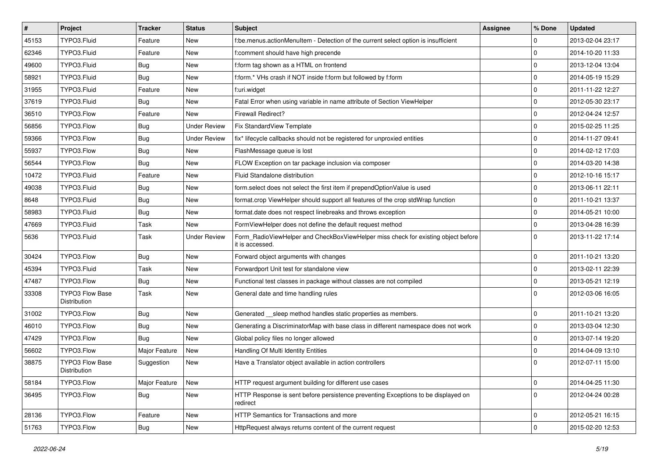| $\vert$ # | Project                                | <b>Tracker</b> | <b>Status</b>       | <b>Subject</b>                                                                                       | <b>Assignee</b> | % Done      | <b>Updated</b>   |
|-----------|----------------------------------------|----------------|---------------------|------------------------------------------------------------------------------------------------------|-----------------|-------------|------------------|
| 45153     | TYPO3.Fluid                            | Feature        | New                 | f:be.menus.actionMenuItem - Detection of the current select option is insufficient                   |                 | 0           | 2013-02-04 23:17 |
| 62346     | TYPO3.Fluid                            | Feature        | New                 | f:comment should have high precende                                                                  |                 | 0           | 2014-10-20 11:33 |
| 49600     | TYPO3.Fluid                            | <b>Bug</b>     | New                 | f:form tag shown as a HTML on frontend                                                               |                 | $\mathbf 0$ | 2013-12-04 13:04 |
| 58921     | TYPO3.Fluid                            | Bug            | <b>New</b>          | f:form.* VHs crash if NOT inside f:form but followed by f:form                                       |                 | 0           | 2014-05-19 15:29 |
| 31955     | TYPO3.Fluid                            | Feature        | <b>New</b>          | f:uri.widget                                                                                         |                 | 0           | 2011-11-22 12:27 |
| 37619     | TYPO3.Fluid                            | <b>Bug</b>     | New                 | Fatal Error when using variable in name attribute of Section ViewHelper                              |                 | 0           | 2012-05-30 23:17 |
| 36510     | TYPO3.Flow                             | Feature        | New                 | Firewall Redirect?                                                                                   |                 | 0           | 2012-04-24 12:57 |
| 56856     | TYPO3.Flow                             | <b>Bug</b>     | <b>Under Review</b> | Fix StandardView Template                                                                            |                 | 0           | 2015-02-25 11:25 |
| 59366     | TYPO3.Flow                             | <b>Bug</b>     | <b>Under Review</b> | fix* lifecycle callbacks should not be registered for unproxied entities                             |                 | $\mathbf 0$ | 2014-11-27 09:41 |
| 55937     | TYPO3.Flow                             | <b>Bug</b>     | <b>New</b>          | FlashMessage queue is lost                                                                           |                 | $\mathbf 0$ | 2014-02-12 17:03 |
| 56544     | TYPO3.Flow                             | <b>Bug</b>     | New                 | FLOW Exception on tar package inclusion via composer                                                 |                 | 0           | 2014-03-20 14:38 |
| 10472     | TYPO3.Fluid                            | Feature        | New                 | Fluid Standalone distribution                                                                        |                 | 0           | 2012-10-16 15:17 |
| 49038     | TYPO3.Fluid                            | <b>Bug</b>     | New                 | form select does not select the first item if prependOptionValue is used                             |                 | $\mathbf 0$ | 2013-06-11 22:11 |
| 8648      | TYPO3.Fluid                            | <b>Bug</b>     | New                 | format.crop ViewHelper should support all features of the crop stdWrap function                      |                 | 0           | 2011-10-21 13:37 |
| 58983     | TYPO3.Fluid                            | <b>Bug</b>     | <b>New</b>          | format.date does not respect linebreaks and throws exception                                         |                 | 0           | 2014-05-21 10:00 |
| 47669     | TYPO3.Fluid                            | Task           | New                 | FormViewHelper does not define the default request method                                            |                 | $\mathbf 0$ | 2013-04-28 16:39 |
| 5636      | TYPO3.Fluid                            | Task           | <b>Under Review</b> | Form_RadioViewHelper and CheckBoxViewHelper miss check for existing object before<br>it is accessed. |                 | $\Omega$    | 2013-11-22 17:14 |
| 30424     | TYPO3.Flow                             | <b>Bug</b>     | <b>New</b>          | Forward object arguments with changes                                                                |                 | 0           | 2011-10-21 13:20 |
| 45394     | TYPO3.Fluid                            | Task           | <b>New</b>          | Forwardport Unit test for standalone view                                                            |                 | 0           | 2013-02-11 22:39 |
| 47487     | TYPO3.Flow                             | <b>Bug</b>     | New                 | Functional test classes in package without classes are not compiled                                  |                 | $\mathbf 0$ | 2013-05-21 12:19 |
| 33308     | <b>TYPO3 Flow Base</b><br>Distribution | Task           | <b>New</b>          | General date and time handling rules                                                                 |                 | $\Omega$    | 2012-03-06 16:05 |
| 31002     | TYPO3.Flow                             | <b>Bug</b>     | New                 | Generated __sleep method handles static properties as members.                                       |                 | 0           | 2011-10-21 13:20 |
| 46010     | TYPO3.Flow                             | <b>Bug</b>     | <b>New</b>          | Generating a DiscriminatorMap with base class in different namespace does not work                   |                 | 0           | 2013-03-04 12:30 |
| 47429     | TYPO3.Flow                             | <b>Bug</b>     | <b>New</b>          | Global policy files no longer allowed                                                                |                 | 0           | 2013-07-14 19:20 |
| 56602     | TYPO3.Flow                             | Major Feature  | New                 | Handling Of Multi Identity Entities                                                                  |                 | 0           | 2014-04-09 13:10 |
| 38875     | <b>TYPO3 Flow Base</b><br>Distribution | Suggestion     | New                 | Have a Translator object available in action controllers                                             |                 | $\Omega$    | 2012-07-11 15:00 |
| 58184     | TYPO3.Flow                             | Major Feature  | New                 | HTTP request argument building for different use cases                                               |                 | $\mathbf 0$ | 2014-04-25 11:30 |
| 36495     | TYPO3.Flow                             | <b>Bug</b>     | New                 | HTTP Response is sent before persistence preventing Exceptions to be displayed on<br>redirect        |                 | $\mathbf 0$ | 2012-04-24 00:28 |
| 28136     | TYPO3.Flow                             | Feature        | New                 | HTTP Semantics for Transactions and more                                                             |                 | 0           | 2012-05-21 16:15 |
| 51763     | TYPO3.Flow                             | <b>Bug</b>     | New                 | HttpRequest always returns content of the current request                                            |                 | $\mathbf 0$ | 2015-02-20 12:53 |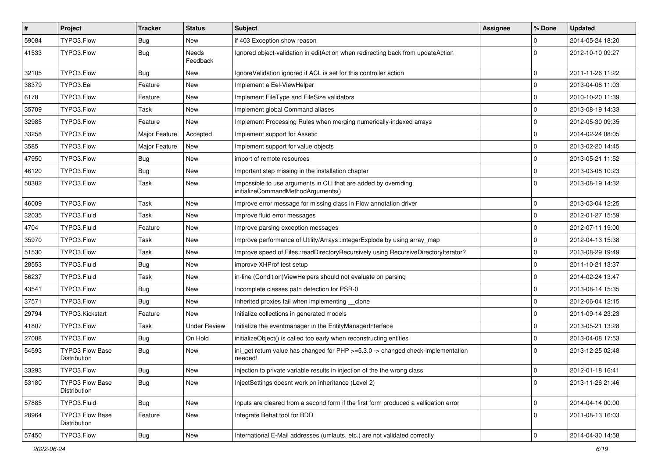| $\vert$ # | Project                                | <b>Tracker</b> | <b>Status</b>       | Subject                                                                                               | <b>Assignee</b> | % Done      | <b>Updated</b>   |
|-----------|----------------------------------------|----------------|---------------------|-------------------------------------------------------------------------------------------------------|-----------------|-------------|------------------|
| 59084     | TYPO3.Flow                             | <b>Bug</b>     | New                 | if 403 Exception show reason                                                                          |                 | $\mathbf 0$ | 2014-05-24 18:20 |
| 41533     | TYPO3.Flow                             | <b>Bug</b>     | Needs<br>Feedback   | Ignored object-validation in editAction when redirecting back from updateAction                       |                 | $\Omega$    | 2012-10-10 09:27 |
| 32105     | TYPO3.Flow                             | <b>Bug</b>     | New                 | Ignore Validation ignored if ACL is set for this controller action                                    |                 | $\mathbf 0$ | 2011-11-26 11:22 |
| 38379     | TYPO3.Eel                              | Feature        | <b>New</b>          | Implement a Eel-ViewHelper                                                                            |                 | $\mathbf 0$ | 2013-04-08 11:03 |
| 6178      | TYPO3.Flow                             | Feature        | New                 | Implement FileType and FileSize validators                                                            |                 | $\mathbf 0$ | 2010-10-20 11:39 |
| 35709     | TYPO3.Flow                             | Task           | <b>New</b>          | Implement global Command aliases                                                                      |                 | $\mathbf 0$ | 2013-08-19 14:33 |
| 32985     | TYPO3.Flow                             | Feature        | New                 | Implement Processing Rules when merging numerically-indexed arrays                                    |                 | $\mathbf 0$ | 2012-05-30 09:35 |
| 33258     | TYPO3.Flow                             | Major Feature  | Accepted            | Implement support for Assetic                                                                         |                 | $\mathbf 0$ | 2014-02-24 08:05 |
| 3585      | TYPO3.Flow                             | Major Feature  | New                 | Implement support for value objects                                                                   |                 | $\mathbf 0$ | 2013-02-20 14:45 |
| 47950     | TYPO3.Flow                             | <b>Bug</b>     | <b>New</b>          | import of remote resources                                                                            |                 | $\mathbf 0$ | 2013-05-21 11:52 |
| 46120     | TYPO3.Flow                             | <b>Bug</b>     | New                 | Important step missing in the installation chapter                                                    |                 | $\mathbf 0$ | 2013-03-08 10:23 |
| 50382     | TYPO3.Flow                             | Task           | New                 | Impossible to use arguments in CLI that are added by overriding<br>initializeCommandMethodArguments() |                 | $\Omega$    | 2013-08-19 14:32 |
| 46009     | TYPO3.Flow                             | Task           | <b>New</b>          | Improve error message for missing class in Flow annotation driver                                     |                 | $\mathbf 0$ | 2013-03-04 12:25 |
| 32035     | TYPO3.Fluid                            | Task           | New                 | Improve fluid error messages                                                                          |                 | $\mathbf 0$ | 2012-01-27 15:59 |
| 4704      | TYPO3.Fluid                            | Feature        | <b>New</b>          | Improve parsing exception messages                                                                    |                 | $\mathbf 0$ | 2012-07-11 19:00 |
| 35970     | TYPO3.Flow                             | Task           | <b>New</b>          | Improve performance of Utility/Arrays::integerExplode by using array_map                              |                 | $\mathbf 0$ | 2012-04-13 15:38 |
| 51530     | TYPO3.Flow                             | Task           | New                 | Improve speed of Files::readDirectoryRecursively using RecursiveDirectoryIterator?                    |                 | $\mathbf 0$ | 2013-08-29 19:49 |
| 28553     | TYPO3.Fluid                            | <b>Bug</b>     | New                 | improve XHProf test setup                                                                             |                 | $\mathbf 0$ | 2011-10-21 13:37 |
| 56237     | TYPO3.Fluid                            | Task           | New                 | in-line (Condition) View Helpers should not evaluate on parsing                                       |                 | $\mathbf 0$ | 2014-02-24 13:47 |
| 43541     | TYPO3.Flow                             | <b>Bug</b>     | <b>New</b>          | Incomplete classes path detection for PSR-0                                                           |                 | $\mathbf 0$ | 2013-08-14 15:35 |
| 37571     | TYPO3.Flow                             | <b>Bug</b>     | New                 | Inherited proxies fail when implementing __clone                                                      |                 | $\mathbf 0$ | 2012-06-04 12:15 |
| 29794     | TYPO3.Kickstart                        | Feature        | <b>New</b>          | Initialize collections in generated models                                                            |                 | $\mathbf 0$ | 2011-09-14 23:23 |
| 41807     | TYPO3.Flow                             | Task           | <b>Under Review</b> | Initialize the eventmanager in the EntityManagerInterface                                             |                 | $\mathbf 0$ | 2013-05-21 13:28 |
| 27088     | TYPO3.Flow                             | <b>Bug</b>     | On Hold             | initializeObject() is called too early when reconstructing entities                                   |                 | $\mathbf 0$ | 2013-04-08 17:53 |
| 54593     | <b>TYPO3 Flow Base</b><br>Distribution | <b>Bug</b>     | <b>New</b>          | ini_get return value has changed for PHP >=5.3.0 -> changed check-implementation<br>needed!           |                 | $\Omega$    | 2013-12-25 02:48 |
| 33293     | TYPO3.Flow                             | <b>Bug</b>     | New                 | Injection to private variable results in injection of the the wrong class                             |                 | l O         | 2012-01-18 16:41 |
| 53180     | TYPO3 Flow Base<br>Distribution        | Bug            | New                 | InjectSettings doesnt work on inheritance (Level 2)                                                   |                 | $\mathbf 0$ | 2013-11-26 21:46 |
| 57885     | TYPO3.Fluid                            | <b>Bug</b>     | New                 | Inputs are cleared from a second form if the first form produced a vallidation error                  |                 | 0           | 2014-04-14 00:00 |
| 28964     | TYPO3 Flow Base<br>Distribution        | Feature        | New                 | Integrate Behat tool for BDD                                                                          |                 | $\mathbf 0$ | 2011-08-13 16:03 |
| 57450     | TYPO3.Flow                             | <b>Bug</b>     | New                 | International E-Mail addresses (umlauts, etc.) are not validated correctly                            |                 | $\mathsf 0$ | 2014-04-30 14:58 |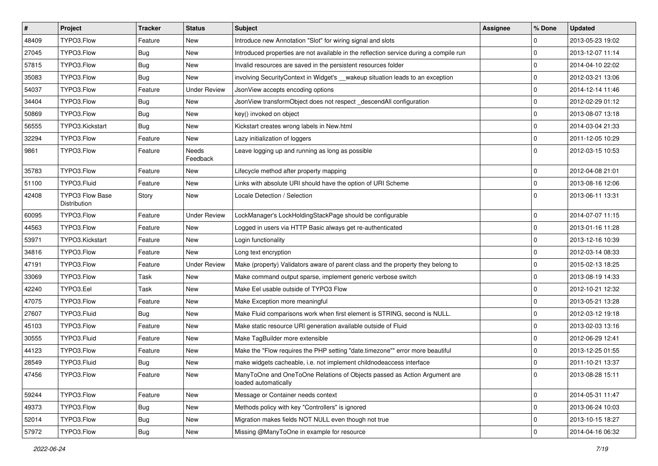| $\vert$ # | Project                         | <b>Tracker</b> | <b>Status</b>            | Subject                                                                                           | Assignee | % Done              | <b>Updated</b>   |
|-----------|---------------------------------|----------------|--------------------------|---------------------------------------------------------------------------------------------------|----------|---------------------|------------------|
| 48409     | TYPO3.Flow                      | Feature        | New                      | Introduce new Annotation "Slot" for wiring signal and slots                                       |          | 0                   | 2013-05-23 19:02 |
| 27045     | TYPO3.Flow                      | <b>Bug</b>     | <b>New</b>               | Introduced properties are not available in the reflection service during a compile run            |          | $\mathbf 0$         | 2013-12-07 11:14 |
| 57815     | TYPO3.Flow                      | <b>Bug</b>     | New                      | Invalid resources are saved in the persistent resources folder                                    |          | 0                   | 2014-04-10 22:02 |
| 35083     | TYPO3.Flow                      | Bug            | New                      | involving SecurityContext in Widget's __wakeup situation leads to an exception                    |          | 0                   | 2012-03-21 13:06 |
| 54037     | TYPO3.Flow                      | Feature        | <b>Under Review</b>      | JsonView accepts encoding options                                                                 |          | 0                   | 2014-12-14 11:46 |
| 34404     | TYPO3.Flow                      | <b>Bug</b>     | New                      | JsonView transformObject does not respect _descendAll configuration                               |          | 0                   | 2012-02-29 01:12 |
| 50869     | TYPO3.Flow                      | <b>Bug</b>     | <b>New</b>               | key() invoked on object                                                                           |          | 0                   | 2013-08-07 13:18 |
| 56555     | TYPO3.Kickstart                 | Bug            | New                      | Kickstart creates wrong labels in New.html                                                        |          | 0                   | 2014-03-04 21:33 |
| 32294     | TYPO3.Flow                      | Feature        | <b>New</b>               | Lazy initialization of loggers                                                                    |          | $\mathbf 0$         | 2011-12-05 10:29 |
| 9861      | TYPO3.Flow                      | Feature        | <b>Needs</b><br>Feedback | Leave logging up and running as long as possible                                                  |          | $\mathbf{0}$        | 2012-03-15 10:53 |
| 35783     | TYPO3.Flow                      | Feature        | New                      | Lifecycle method after property mapping                                                           |          | 0                   | 2012-04-08 21:01 |
| 51100     | TYPO3.Fluid                     | Feature        | <b>New</b>               | Links with absolute URI should have the option of URI Scheme                                      |          | 0                   | 2013-08-16 12:06 |
| 42408     | TYPO3 Flow Base<br>Distribution | Story          | New                      | Locale Detection / Selection                                                                      |          | $\Omega$            | 2013-06-11 13:31 |
| 60095     | TYPO3.Flow                      | Feature        | <b>Under Review</b>      | LockManager's LockHoldingStackPage should be configurable                                         |          | 0                   | 2014-07-07 11:15 |
| 44563     | TYPO3.Flow                      | Feature        | New                      | Logged in users via HTTP Basic always get re-authenticated                                        |          | 0                   | 2013-01-16 11:28 |
| 53971     | TYPO3.Kickstart                 | Feature        | <b>New</b>               | Login functionality                                                                               |          | 0                   | 2013-12-16 10:39 |
| 34816     | TYPO3.Flow                      | Feature        | <b>New</b>               | Long text encryption                                                                              |          | $\mathbf 0$         | 2012-03-14 08:33 |
| 47191     | TYPO3.Flow                      | Feature        | <b>Under Review</b>      | Make (property) Validators aware of parent class and the property they belong to                  |          | 0                   | 2015-02-13 18:25 |
| 33069     | TYPO3.Flow                      | Task           | <b>New</b>               | Make command output sparse, implement generic verbose switch                                      |          | 0                   | 2013-08-19 14:33 |
| 42240     | TYPO3.Eel                       | Task           | New                      | Make Eel usable outside of TYPO3 Flow                                                             |          | $\mathbf 0$         | 2012-10-21 12:32 |
| 47075     | TYPO3.Flow                      | Feature        | New                      | Make Exception more meaningful                                                                    |          | 0                   | 2013-05-21 13:28 |
| 27607     | TYPO3.Fluid                     | Bug            | New                      | Make Fluid comparisons work when first element is STRING, second is NULL.                         |          | 0                   | 2012-03-12 19:18 |
| 45103     | TYPO3.Flow                      | Feature        | New                      | Make static resource URI generation available outside of Fluid                                    |          | 0                   | 2013-02-03 13:16 |
| 30555     | TYPO3.Fluid                     | Feature        | <b>New</b>               | Make TagBuilder more extensible                                                                   |          | 0                   | 2012-06-29 12:41 |
| 44123     | TYPO3.Flow                      | Feature        | New                      | Make the "Flow requires the PHP setting "date.timezone"" error more beautiful                     |          | $\mathbf 0$         | 2013-12-25 01:55 |
| 28549     | TYPO3.Fluid                     | <b>Bug</b>     | <b>New</b>               | make widgets cacheable, i.e. not implement childnodeaccess interface                              |          | 0                   | 2011-10-21 13:37 |
| 47456     | TYPO3.Flow                      | Feature        | New                      | ManyToOne and OneToOne Relations of Objects passed as Action Argument are<br>loaded automatically |          | 0                   | 2013-08-28 15:11 |
| 59244     | TYPO3.Flow                      | Feature        | New                      | Message or Container needs context                                                                |          | 0                   | 2014-05-31 11:47 |
| 49373     | TYPO3.Flow                      | <b>Bug</b>     | New                      | Methods policy with key "Controllers" is ignored                                                  |          | $\mathsf{O}\xspace$ | 2013-06-24 10:03 |
| 52014     | TYPO3.Flow                      | Bug            | New                      | Migration makes fields NOT NULL even though not true                                              |          | $\mathbf 0$         | 2013-10-15 18:27 |
| 57972     | TYPO3.Flow                      | Bug            | New                      | Missing @ManyToOne in example for resource                                                        |          | $\mathbf 0$         | 2014-04-16 06:32 |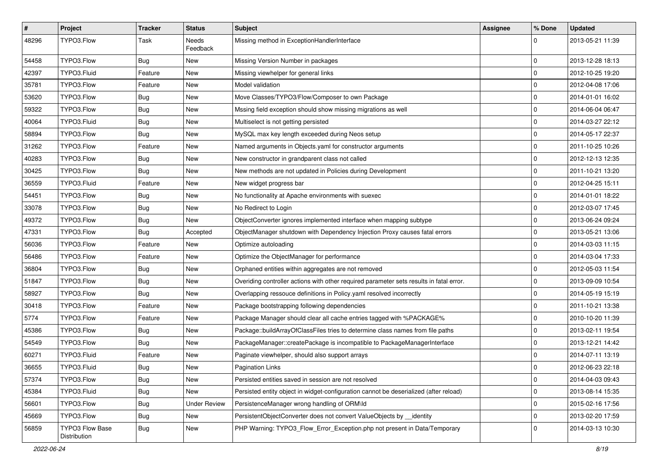| $\vert$ # | Project                         | <b>Tracker</b> | <b>Status</b>       | <b>Subject</b>                                                                          | <b>Assignee</b> | % Done      | <b>Updated</b>   |
|-----------|---------------------------------|----------------|---------------------|-----------------------------------------------------------------------------------------|-----------------|-------------|------------------|
| 48296     | TYPO3.Flow                      | Task           | Needs<br>Feedback   | Missing method in ExceptionHandlerInterface                                             |                 | $\Omega$    | 2013-05-21 11:39 |
| 54458     | TYPO3.Flow                      | <b>Bug</b>     | New                 | Missing Version Number in packages                                                      |                 | l 0         | 2013-12-28 18:13 |
| 42397     | TYPO3.Fluid                     | Feature        | New                 | Missing viewhelper for general links                                                    |                 | 0           | 2012-10-25 19:20 |
| 35781     | TYPO3.Flow                      | Feature        | New                 | Model validation                                                                        |                 | l 0         | 2012-04-08 17:06 |
| 53620     | TYPO3.Flow                      | <b>Bug</b>     | New                 | Move Classes/TYPO3/Flow/Composer to own Package                                         |                 | $\mathbf 0$ | 2014-01-01 16:02 |
| 59322     | TYPO3.Flow                      | <b>Bug</b>     | New                 | Mssing field exception should show missing migrations as well                           |                 | $\Omega$    | 2014-06-04 06:47 |
| 40064     | TYPO3.Fluid                     | Bug            | New                 | Multiselect is not getting persisted                                                    |                 | 0           | 2014-03-27 22:12 |
| 58894     | TYPO3.Flow                      | <b>Bug</b>     | New                 | MySQL max key length exceeded during Neos setup                                         |                 | $\mathbf 0$ | 2014-05-17 22:37 |
| 31262     | TYPO3.Flow                      | Feature        | <b>New</b>          | Named arguments in Objects.yaml for constructor arguments                               |                 | 0           | 2011-10-25 10:26 |
| 40283     | TYPO3.Flow                      | <b>Bug</b>     | New                 | New constructor in grandparent class not called                                         |                 | 0           | 2012-12-13 12:35 |
| 30425     | TYPO3.Flow                      | Bug            | New                 | New methods are not updated in Policies during Development                              |                 | 0           | 2011-10-21 13:20 |
| 36559     | TYPO3.Fluid                     | Feature        | New                 | New widget progress bar                                                                 |                 | 0           | 2012-04-25 15:11 |
| 54451     | TYPO3.Flow                      | <b>Bug</b>     | New                 | No functionality at Apache environments with suexec                                     |                 | $\Omega$    | 2014-01-01 18:22 |
| 33078     | TYPO3.Flow                      | <b>Bug</b>     | New                 | No Redirect to Login                                                                    |                 | 0           | 2012-03-07 17:45 |
| 49372     | TYPO3.Flow                      | Bug            | New                 | ObjectConverter ignores implemented interface when mapping subtype                      |                 | 0           | 2013-06-24 09:24 |
| 47331     | TYPO3.Flow                      | <b>Bug</b>     | Accepted            | ObjectManager shutdown with Dependency Injection Proxy causes fatal errors              |                 | 0           | 2013-05-21 13:06 |
| 56036     | TYPO3.Flow                      | Feature        | <b>New</b>          | Optimize autoloading                                                                    |                 | l 0         | 2014-03-03 11:15 |
| 56486     | TYPO3.Flow                      | Feature        | New                 | Optimize the ObjectManager for performance                                              |                 | $\Omega$    | 2014-03-04 17:33 |
| 36804     | TYPO3.Flow                      | <b>Bug</b>     | <b>New</b>          | Orphaned entities within aggregates are not removed                                     |                 | 0           | 2012-05-03 11:54 |
| 51847     | TYPO3.Flow                      | Bug            | New                 | Overiding controller actions with other required parameter sets results in fatal error. |                 | 0           | 2013-09-09 10:54 |
| 58927     | TYPO3.Flow                      | <b>Bug</b>     | New                 | Overlapping ressouce definitions in Policy.yaml resolved incorrectly                    |                 | $\mathbf 0$ | 2014-05-19 15:19 |
| 30418     | TYPO3.Flow                      | Feature        | New                 | Package bootstrapping following dependencies                                            |                 | $\Omega$    | 2011-10-21 13:38 |
| 5774      | TYPO3.Flow                      | Feature        | New                 | Package Manager should clear all cache entries tagged with %PACKAGE%                    |                 | $\Omega$    | 2010-10-20 11:39 |
| 45386     | TYPO3.Flow                      | <b>Bug</b>     | New                 | Package::buildArrayOfClassFiles tries to determine class names from file paths          |                 | $\Omega$    | 2013-02-11 19:54 |
| 54549     | TYPO3.Flow                      | <b>Bug</b>     | New                 | PackageManager::createPackage is incompatible to PackageManagerInterface                |                 | $\mathbf 0$ | 2013-12-21 14:42 |
| 60271     | TYPO3.Fluid                     | Feature        | New                 | Paginate viewhelper, should also support arrays                                         |                 | $\mathbf 0$ | 2014-07-11 13:19 |
| 36655     | TYPO3.Fluid                     | <b>Bug</b>     | New                 | <b>Pagination Links</b>                                                                 |                 | $\Omega$    | 2012-06-23 22:18 |
| 57374     | TYPO3.Flow                      | <b>Bug</b>     | New                 | Persisted entities saved in session are not resolved                                    |                 | 0           | 2014-04-03 09:43 |
| 45384     | TYPO3.Fluid                     | <b>Bug</b>     | New                 | Persisted entity object in widget-configuration cannot be deserialized (after reload)   |                 | 0           | 2013-08-14 15:35 |
| 56601     | TYPO3.Flow                      | <b>Bug</b>     | <b>Under Review</b> | PersistenceManager wrong handling of ORM\ld                                             |                 | 0           | 2015-02-16 17:56 |
| 45669     | TYPO3.Flow                      | <b>Bug</b>     | New                 | PersistentObjectConverter does not convert ValueObjects by __ identity                  |                 | 0           | 2013-02-20 17:59 |
| 56859     | TYPO3 Flow Base<br>Distribution | Bug            | New                 | PHP Warning: TYPO3_Flow_Error_Exception.php not present in Data/Temporary               |                 | l 0         | 2014-03-13 10:30 |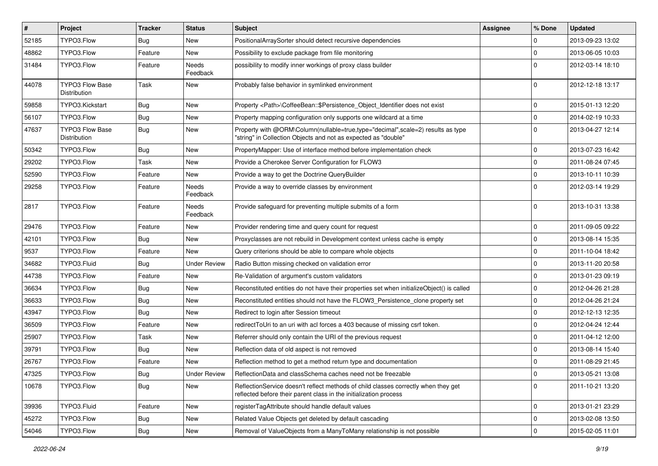| $\vert$ # | <b>Project</b>                         | Tracker    | <b>Status</b>       | Subject                                                                                                                                                 | Assignee | % Done      | <b>Updated</b>   |
|-----------|----------------------------------------|------------|---------------------|---------------------------------------------------------------------------------------------------------------------------------------------------------|----------|-------------|------------------|
| 52185     | TYPO3.Flow                             | <b>Bug</b> | New                 | PositionalArraySorter should detect recursive dependencies                                                                                              |          | 0           | 2013-09-23 13:02 |
| 48862     | TYPO3.Flow                             | Feature    | New                 | Possibility to exclude package from file monitoring                                                                                                     |          | 0           | 2013-06-05 10:03 |
| 31484     | TYPO3.Flow                             | Feature    | Needs<br>Feedback   | possibility to modify inner workings of proxy class builder                                                                                             |          | $\Omega$    | 2012-03-14 18:10 |
| 44078     | <b>TYPO3 Flow Base</b><br>Distribution | Task       | <b>New</b>          | Probably false behavior in symlinked environment                                                                                                        |          | $\Omega$    | 2012-12-18 13:17 |
| 59858     | TYPO3.Kickstart                        | <b>Bug</b> | <b>New</b>          | Property <path>\CoffeeBean::\$Persistence_Object_Identifier does not exist</path>                                                                       |          | $\mathbf 0$ | 2015-01-13 12:20 |
| 56107     | TYPO3.Flow                             | <b>Bug</b> | New                 | Property mapping configuration only supports one wildcard at a time                                                                                     |          | $\mathbf 0$ | 2014-02-19 10:33 |
| 47637     | <b>TYPO3 Flow Base</b><br>Distribution | Bug        | New                 | Property with @ORM\Column(nullable=true,type="decimal",scale=2) results as type<br>"string" in Collection Objects and not as expected as "double"       |          | $\Omega$    | 2013-04-27 12:14 |
| 50342     | TYPO3.Flow                             | Bug        | New                 | PropertyMapper: Use of interface method before implementation check                                                                                     |          | $\mathbf 0$ | 2013-07-23 16:42 |
| 29202     | TYPO3.Flow                             | Task       | New                 | Provide a Cherokee Server Configuration for FLOW3                                                                                                       |          | $\mathbf 0$ | 2011-08-24 07:45 |
| 52590     | TYPO3.Flow                             | Feature    | New                 | Provide a way to get the Doctrine QueryBuilder                                                                                                          |          | 0           | 2013-10-11 10:39 |
| 29258     | TYPO3.Flow                             | Feature    | Needs<br>Feedback   | Provide a way to override classes by environment                                                                                                        |          | $\Omega$    | 2012-03-14 19:29 |
| 2817      | TYPO3.Flow                             | Feature    | Needs<br>Feedback   | Provide safeguard for preventing multiple submits of a form                                                                                             |          | $\Omega$    | 2013-10-31 13:38 |
| 29476     | TYPO3.Flow                             | Feature    | New                 | Provider rendering time and query count for request                                                                                                     |          | 0           | 2011-09-05 09:22 |
| 42101     | TYPO3.Flow                             | Bug        | New                 | Proxyclasses are not rebuild in Development context unless cache is empty                                                                               |          | $\mathbf 0$ | 2013-08-14 15:35 |
| 9537      | TYPO3.Flow                             | Feature    | New                 | Query criterions should be able to compare whole objects                                                                                                |          | $\mathbf 0$ | 2011-10-04 18:42 |
| 34682     | TYPO3.Fluid                            | <b>Bug</b> | <b>Under Review</b> | Radio Button missing checked on validation error                                                                                                        |          | 0           | 2013-11-20 20:58 |
| 44738     | TYPO3.Flow                             | Feature    | New                 | Re-Validation of argument's custom validators                                                                                                           |          | $\mathbf 0$ | 2013-01-23 09:19 |
| 36634     | TYPO3.Flow                             | <b>Bug</b> | New                 | Reconstituted entities do not have their properties set when initializeObject() is called                                                               |          | 0           | 2012-04-26 21:28 |
| 36633     | TYPO3.Flow                             | <b>Bug</b> | New                 | Reconstituted entities should not have the FLOW3 Persistence clone property set                                                                         |          | 0           | 2012-04-26 21:24 |
| 43947     | TYPO3.Flow                             | Bug        | New                 | Redirect to login after Session timeout                                                                                                                 |          | 0           | 2012-12-13 12:35 |
| 36509     | TYPO3.Flow                             | Feature    | New                 | redirectToUri to an uri with acl forces a 403 because of missing csrf token.                                                                            |          | 0           | 2012-04-24 12:44 |
| 25907     | TYPO3.Flow                             | Task       | New                 | Referrer should only contain the URI of the previous request                                                                                            |          | 0           | 2011-04-12 12:00 |
| 39791     | TYPO3.Flow                             | Bug        | New                 | Reflection data of old aspect is not removed                                                                                                            |          | 0           | 2013-08-14 15:40 |
| 26767     | TYPO3.Flow                             | Feature    | New                 | Reflection method to get a method return type and documentation                                                                                         |          | $\mathbf 0$ | 2011-08-29 21:45 |
| 47325     | TYPO3.Flow                             | Bug        | <b>Under Review</b> | ReflectionData and classSchema caches need not be freezable                                                                                             |          | 0           | 2013-05-21 13:08 |
| 10678     | TYPO3.Flow                             | <b>Bug</b> | New                 | ReflectionService doesn't reflect methods of child classes correctly when they get<br>reflected before their parent class in the initialization process |          | $\Omega$    | 2011-10-21 13:20 |
| 39936     | TYPO3.Fluid                            | Feature    | New                 | registerTagAttribute should handle default values                                                                                                       |          | 0           | 2013-01-21 23:29 |
| 45272     | TYPO3.Flow                             | <b>Bug</b> | New                 | Related Value Objects get deleted by default cascading                                                                                                  |          | 0           | 2013-02-08 13:50 |
| 54046     | TYPO3.Flow                             | Bug        | New                 | Removal of ValueObjects from a ManyToMany relationship is not possible                                                                                  |          | $\mathbf 0$ | 2015-02-05 11:01 |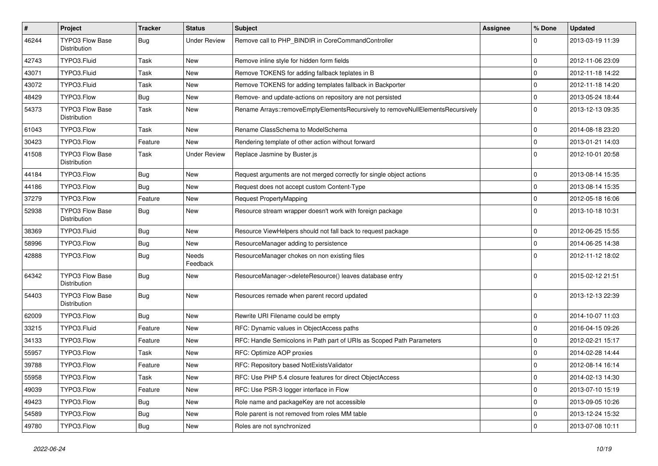| $\vert$ # | Project                                       | Tracker    | <b>Status</b>       | Subject                                                                        | <b>Assignee</b> | % Done      | <b>Updated</b>   |
|-----------|-----------------------------------------------|------------|---------------------|--------------------------------------------------------------------------------|-----------------|-------------|------------------|
| 46244     | TYPO3 Flow Base<br>Distribution               | <b>Bug</b> | <b>Under Review</b> | Remove call to PHP_BINDIR in CoreCommandController                             |                 | $\Omega$    | 2013-03-19 11:39 |
| 42743     | TYPO3.Fluid                                   | Task       | New                 | Remove inline style for hidden form fields                                     |                 | $\mathbf 0$ | 2012-11-06 23:09 |
| 43071     | TYPO3.Fluid                                   | Task       | New                 | Remove TOKENS for adding fallback teplates in B                                |                 | $\mathbf 0$ | 2012-11-18 14:22 |
| 43072     | TYPO3.Fluid                                   | Task       | <b>New</b>          | Remove TOKENS for adding templates fallback in Backporter                      |                 | $\mathbf 0$ | 2012-11-18 14:20 |
| 48429     | TYPO3.Flow                                    | <b>Bug</b> | New                 | Remove- and update-actions on repository are not persisted                     |                 | $\pmb{0}$   | 2013-05-24 18:44 |
| 54373     | TYPO3 Flow Base<br>Distribution               | Task       | New                 | Rename Arrays::removeEmptyElementsRecursively to removeNullElementsRecursively |                 | $\Omega$    | 2013-12-13 09:35 |
| 61043     | TYPO3.Flow                                    | Task       | <b>New</b>          | Rename ClassSchema to ModelSchema                                              |                 | $\mathbf 0$ | 2014-08-18 23:20 |
| 30423     | TYPO3.Flow                                    | Feature    | New                 | Rendering template of other action without forward                             |                 | $\mathbf 0$ | 2013-01-21 14:03 |
| 41508     | <b>TYPO3 Flow Base</b><br>Distribution        | Task       | <b>Under Review</b> | Replace Jasmine by Buster.js                                                   |                 | $\Omega$    | 2012-10-01 20:58 |
| 44184     | TYPO3.Flow                                    | Bug        | <b>New</b>          | Request arguments are not merged correctly for single object actions           |                 | $\mathbf 0$ | 2013-08-14 15:35 |
| 44186     | TYPO3.Flow                                    | <b>Bug</b> | New                 | Request does not accept custom Content-Type                                    |                 | $\pmb{0}$   | 2013-08-14 15:35 |
| 37279     | TYPO3.Flow                                    | Feature    | New                 | Request PropertyMapping                                                        |                 | $\mathbf 0$ | 2012-05-18 16:06 |
| 52938     | <b>TYPO3 Flow Base</b><br><b>Distribution</b> | <b>Bug</b> | New                 | Resource stream wrapper doesn't work with foreign package                      |                 | $\Omega$    | 2013-10-18 10:31 |
| 38369     | TYPO3.Fluid                                   | <b>Bug</b> | <b>New</b>          | Resource ViewHelpers should not fall back to request package                   |                 | $\mathbf 0$ | 2012-06-25 15:55 |
| 58996     | TYPO3.Flow                                    | Bug        | New                 | ResourceManager adding to persistence                                          |                 | $\mathbf 0$ | 2014-06-25 14:38 |
| 42888     | TYPO3.Flow                                    | Bug        | Needs<br>Feedback   | ResourceManager chokes on non existing files                                   |                 | $\Omega$    | 2012-11-12 18:02 |
| 64342     | TYPO3 Flow Base<br>Distribution               | <b>Bug</b> | New                 | ResourceManager->deleteResource() leaves database entry                        |                 | $\Omega$    | 2015-02-12 21:51 |
| 54403     | <b>TYPO3 Flow Base</b><br>Distribution        | <b>Bug</b> | <b>New</b>          | Resources remade when parent record updated                                    |                 | $\Omega$    | 2013-12-13 22:39 |
| 62009     | TYPO3.Flow                                    | Bug        | New                 | Rewrite URI Filename could be empty                                            |                 | $\mathbf 0$ | 2014-10-07 11:03 |
| 33215     | TYPO3.Fluid                                   | Feature    | New                 | RFC: Dynamic values in ObjectAccess paths                                      |                 | $\mathbf 0$ | 2016-04-15 09:26 |
| 34133     | TYPO3.Flow                                    | Feature    | New                 | RFC: Handle Semicolons in Path part of URIs as Scoped Path Parameters          |                 | $\mathbf 0$ | 2012-02-21 15:17 |
| 55957     | TYPO3.Flow                                    | Task       | <b>New</b>          | RFC: Optimize AOP proxies                                                      |                 | $\mathbf 0$ | 2014-02-28 14:44 |
| 39788     | TYPO3.Flow                                    | Feature    | New                 | RFC: Repository based NotExistsValidator                                       |                 | $\mathbf 0$ | 2012-08-14 16:14 |
| 55958     | TYPO3.Flow                                    | Task       | New                 | RFC: Use PHP 5.4 closure features for direct ObjectAccess                      |                 | 0           | 2014-02-13 14:30 |
| 49039     | TYPO3.Flow                                    | Feature    | New                 | RFC: Use PSR-3 logger interface in Flow                                        |                 | $\mathbf 0$ | 2013-07-10 15:19 |
| 49423     | TYPO3.Flow                                    | <b>Bug</b> | New                 | Role name and packageKey are not accessible                                    |                 | $\pmb{0}$   | 2013-09-05 10:26 |
| 54589     | TYPO3.Flow                                    | Bug        | New                 | Role parent is not removed from roles MM table                                 |                 | 0           | 2013-12-24 15:32 |
| 49780     | TYPO3.Flow                                    | Bug        | New                 | Roles are not synchronized                                                     |                 | $\mathsf 0$ | 2013-07-08 10:11 |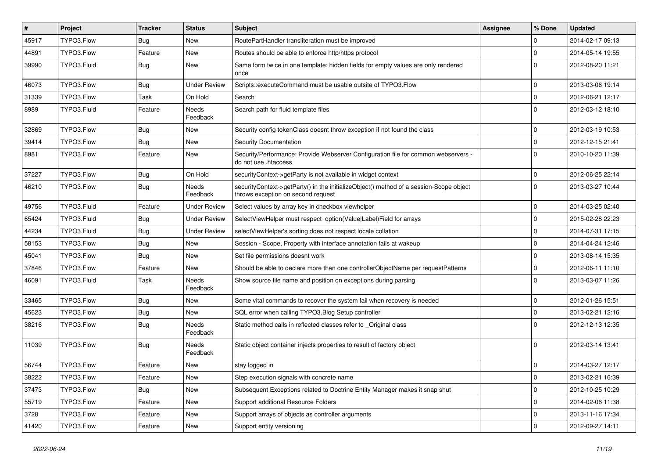| #     | Project     | <b>Tracker</b> | <b>Status</b>            | <b>Subject</b>                                                                                                               | <b>Assignee</b> | % Done      | <b>Updated</b>   |
|-------|-------------|----------------|--------------------------|------------------------------------------------------------------------------------------------------------------------------|-----------------|-------------|------------------|
| 45917 | TYPO3.Flow  | Bug            | New                      | RoutePartHandler transliteration must be improved                                                                            |                 | 0           | 2014-02-17 09:13 |
| 44891 | TYPO3.Flow  | Feature        | New                      | Routes should be able to enforce http/https protocol                                                                         |                 | $\mathbf 0$ | 2014-05-14 19:55 |
| 39990 | TYPO3.Fluid | Bug            | New                      | Same form twice in one template: hidden fields for empty values are only rendered<br>once                                    |                 | $\Omega$    | 2012-08-20 11:21 |
| 46073 | TYPO3.Flow  | Bug            | <b>Under Review</b>      | Scripts::executeCommand must be usable outsite of TYPO3.Flow                                                                 |                 | $\mathbf 0$ | 2013-03-06 19:14 |
| 31339 | TYPO3.Flow  | Task           | On Hold                  | Search                                                                                                                       |                 | $\mathbf 0$ | 2012-06-21 12:17 |
| 8989  | TYPO3.Fluid | Feature        | <b>Needs</b><br>Feedback | Search path for fluid template files                                                                                         |                 | $\Omega$    | 2012-03-12 18:10 |
| 32869 | TYPO3.Flow  | Bug            | New                      | Security config tokenClass doesnt throw exception if not found the class                                                     |                 | $\mathbf 0$ | 2012-03-19 10:53 |
| 39414 | TYPO3.Flow  | Bug            | New                      | Security Documentation                                                                                                       |                 | $\mathbf 0$ | 2012-12-15 21:41 |
| 8981  | TYPO3.Flow  | Feature        | New                      | Security/Performance: Provide Webserver Configuration file for common webservers -<br>do not use .htaccess                   |                 | $\Omega$    | 2010-10-20 11:39 |
| 37227 | TYPO3.Flow  | Bug            | On Hold                  | securityContext->getParty is not available in widget context                                                                 |                 | $\mathbf 0$ | 2012-06-25 22:14 |
| 46210 | TYPO3.Flow  | <b>Bug</b>     | Needs<br>Feedback        | securityContext->getParty() in the initializeObject() method of a session-Scope object<br>throws exception on second request |                 | $\Omega$    | 2013-03-27 10:44 |
| 49756 | TYPO3.Fluid | Feature        | <b>Under Review</b>      | Select values by array key in checkbox viewhelper                                                                            |                 | $\mathbf 0$ | 2014-03-25 02:40 |
| 65424 | TYPO3.Fluid | Bug            | <b>Under Review</b>      | SelectViewHelper must respect option(Value Label)Field for arrays                                                            |                 | $\mathbf 0$ | 2015-02-28 22:23 |
| 44234 | TYPO3.Fluid | Bug            | <b>Under Review</b>      | selectViewHelper's sorting does not respect locale collation                                                                 |                 | $\mathbf 0$ | 2014-07-31 17:15 |
| 58153 | TYPO3.Flow  | Bug            | New                      | Session - Scope, Property with interface annotation fails at wakeup                                                          |                 | $\mathbf 0$ | 2014-04-24 12:46 |
| 45041 | TYPO3.Flow  | Bug            | New                      | Set file permissions doesnt work                                                                                             |                 | $\mathbf 0$ | 2013-08-14 15:35 |
| 37846 | TYPO3.Flow  | Feature        | <b>New</b>               | Should be able to declare more than one controllerObjectName per requestPatterns                                             |                 | $\mathbf 0$ | 2012-06-11 11:10 |
| 46091 | TYPO3.Fluid | Task           | Needs<br>Feedback        | Show source file name and position on exceptions during parsing                                                              |                 | $\Omega$    | 2013-03-07 11:26 |
| 33465 | TYPO3.Flow  | Bug            | New                      | Some vital commands to recover the system fail when recovery is needed                                                       |                 | $\mathbf 0$ | 2012-01-26 15:51 |
| 45623 | TYPO3.Flow  | Bug            | New                      | SQL error when calling TYPO3.Blog Setup controller                                                                           |                 | $\mathbf 0$ | 2013-02-21 12:16 |
| 38216 | TYPO3.Flow  | Bug            | Needs<br>Feedback        | Static method calls in reflected classes refer to _Original class                                                            |                 | $\Omega$    | 2012-12-13 12:35 |
| 11039 | TYPO3.Flow  | Bug            | Needs<br>Feedback        | Static object container injects properties to result of factory object                                                       |                 | $\Omega$    | 2012-03-14 13:41 |
| 56744 | TYPO3.Flow  | Feature        | New                      | stay logged in                                                                                                               |                 | $\Omega$    | 2014-03-27 12:17 |
| 38222 | TYPO3.Flow  | Feature        | New                      | Step execution signals with concrete name                                                                                    |                 | $\pmb{0}$   | 2013-02-21 16:39 |
| 37473 | TYPO3.Flow  | <b>Bug</b>     | New                      | Subsequent Exceptions related to Doctrine Entity Manager makes it snap shut                                                  |                 | 0           | 2012-10-25 10:29 |
| 55719 | TYPO3.Flow  | Feature        | New                      | Support additional Resource Folders                                                                                          |                 | $\mathbf 0$ | 2014-02-06 11:38 |
| 3728  | TYPO3.Flow  | Feature        | New                      | Support arrays of objects as controller arguments                                                                            |                 | 0           | 2013-11-16 17:34 |
| 41420 | TYPO3.Flow  | Feature        | New                      | Support entity versioning                                                                                                    |                 | $\pmb{0}$   | 2012-09-27 14:11 |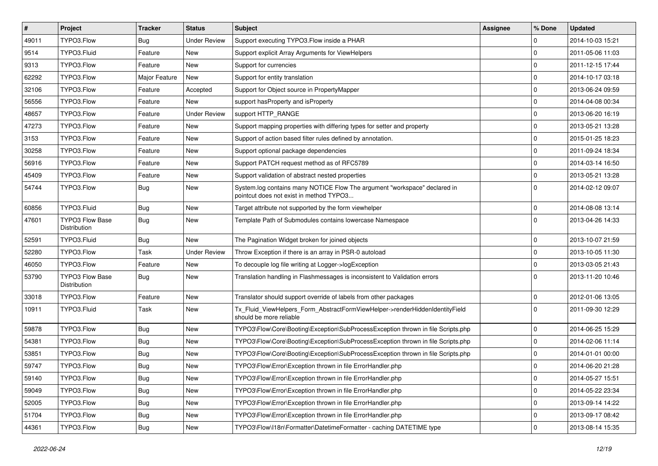| #     | Project                                | <b>Tracker</b> | <b>Status</b>       | Subject                                                                                                              | Assignee | % Done      | <b>Updated</b>   |
|-------|----------------------------------------|----------------|---------------------|----------------------------------------------------------------------------------------------------------------------|----------|-------------|------------------|
| 49011 | TYPO3.Flow                             | <b>Bug</b>     | <b>Under Review</b> | Support executing TYPO3.Flow inside a PHAR                                                                           |          | 0           | 2014-10-03 15:21 |
| 9514  | TYPO3.Fluid                            | Feature        | <b>New</b>          | Support explicit Array Arguments for ViewHelpers                                                                     |          | 0           | 2011-05-06 11:03 |
| 9313  | TYPO3.Flow                             | Feature        | <b>New</b>          | Support for currencies                                                                                               |          | 0           | 2011-12-15 17:44 |
| 62292 | TYPO3.Flow                             | Major Feature  | New                 | Support for entity translation                                                                                       |          | $\mathbf 0$ | 2014-10-17 03:18 |
| 32106 | TYPO3.Flow                             | Feature        | Accepted            | Support for Object source in PropertyMapper                                                                          |          | 0           | 2013-06-24 09:59 |
| 56556 | TYPO3.Flow                             | Feature        | <b>New</b>          | support has Property and is Property                                                                                 |          | $\mathbf 0$ | 2014-04-08 00:34 |
| 48657 | TYPO3.Flow                             | Feature        | <b>Under Review</b> | support HTTP_RANGE                                                                                                   |          | $\mathbf 0$ | 2013-06-20 16:19 |
| 47273 | TYPO3.Flow                             | Feature        | New                 | Support mapping properties with differing types for setter and property                                              |          | 0           | 2013-05-21 13:28 |
| 3153  | TYPO3.Flow                             | Feature        | New                 | Support of action based filter rules defined by annotation.                                                          |          | 0           | 2015-01-25 18:23 |
| 30258 | TYPO3.Flow                             | Feature        | <b>New</b>          | Support optional package dependencies                                                                                |          | 0           | 2011-09-24 18:34 |
| 56916 | TYPO3.Flow                             | Feature        | New                 | Support PATCH request method as of RFC5789                                                                           |          | 0           | 2014-03-14 16:50 |
| 45409 | TYPO3.Flow                             | Feature        | <b>New</b>          | Support validation of abstract nested properties                                                                     |          | 0           | 2013-05-21 13:28 |
| 54744 | TYPO3.Flow                             | Bug            | New                 | System.log contains many NOTICE Flow The argument "workspace" declared in<br>pointcut does not exist in method TYPO3 |          | $\Omega$    | 2014-02-12 09:07 |
| 60856 | TYPO3.Fluid                            | Bug            | <b>New</b>          | Target attribute not supported by the form viewhelper                                                                |          | $\mathbf 0$ | 2014-08-08 13:14 |
| 47601 | TYPO3 Flow Base<br>Distribution        | <b>Bug</b>     | New                 | Template Path of Submodules contains lowercase Namespace                                                             |          | $\Omega$    | 2013-04-26 14:33 |
| 52591 | TYPO3.Fluid                            | <b>Bug</b>     | <b>New</b>          | The Pagination Widget broken for joined objects                                                                      |          | 0           | 2013-10-07 21:59 |
| 52280 | TYPO3.Flow                             | Task           | <b>Under Review</b> | Throw Exception if there is an array in PSR-0 autoload                                                               |          | 0           | 2013-10-05 11:30 |
| 46050 | TYPO3.Flow                             | Feature        | New                 | To decouple log file writing at Logger->logException                                                                 |          | $\mathbf 0$ | 2013-03-05 21:43 |
| 53790 | <b>TYPO3 Flow Base</b><br>Distribution | Bug            | <b>New</b>          | Translation handling in Flashmessages is inconsistent to Validation errors                                           |          | $\Omega$    | 2013-11-20 10:46 |
| 33018 | TYPO3.Flow                             | Feature        | <b>New</b>          | Translator should support override of labels from other packages                                                     |          | 0           | 2012-01-06 13:05 |
| 10911 | TYPO3.Fluid                            | Task           | New                 | Tx_Fluid_ViewHelpers_Form_AbstractFormViewHelper->renderHiddenIdentityField<br>should be more reliable               |          | $\Omega$    | 2011-09-30 12:29 |
| 59878 | TYPO3.Flow                             | <b>Bug</b>     | <b>New</b>          | TYPO3\Flow\Core\Booting\Exception\SubProcessException thrown in file Scripts.php                                     |          | 0           | 2014-06-25 15:29 |
| 54381 | TYPO3.Flow                             | Bug            | New                 | TYPO3\Flow\Core\Booting\Exception\SubProcessException thrown in file Scripts.php                                     |          | 0           | 2014-02-06 11:14 |
| 53851 | TYPO3.Flow                             | <b>Bug</b>     | New                 | TYPO3\Flow\Core\Booting\Exception\SubProcessException thrown in file Scripts.php                                     |          | $\mathbf 0$ | 2014-01-01 00:00 |
| 59747 | TYPO3.Flow                             | <b>Bug</b>     | <b>New</b>          | TYPO3\Flow\Error\Exception thrown in file ErrorHandler.php                                                           |          | $\mathbf 0$ | 2014-06-20 21:28 |
| 59140 | TYPO3.Flow                             | <b>Bug</b>     | New                 | TYPO3\Flow\Error\Exception thrown in file ErrorHandler.php                                                           |          | $\mathbf 0$ | 2014-05-27 15:51 |
| 59049 | TYPO3.Flow                             | <b>Bug</b>     | <b>New</b>          | TYPO3\Flow\Error\Exception thrown in file ErrorHandler.php                                                           |          | 0           | 2014-05-22 23:34 |
| 52005 | TYPO3.Flow                             | <b>Bug</b>     | New                 | TYPO3\Flow\Error\Exception thrown in file ErrorHandler.php                                                           |          | $\mathbf 0$ | 2013-09-14 14:22 |
| 51704 | TYPO3.Flow                             | Bug            | New                 | TYPO3\Flow\Error\Exception thrown in file ErrorHandler.php                                                           |          | 0           | 2013-09-17 08:42 |
| 44361 | TYPO3.Flow                             | Bug            | New                 | TYPO3\Flow\I18n\Formatter\DatetimeFormatter - caching DATETIME type                                                  |          | 0           | 2013-08-14 15:35 |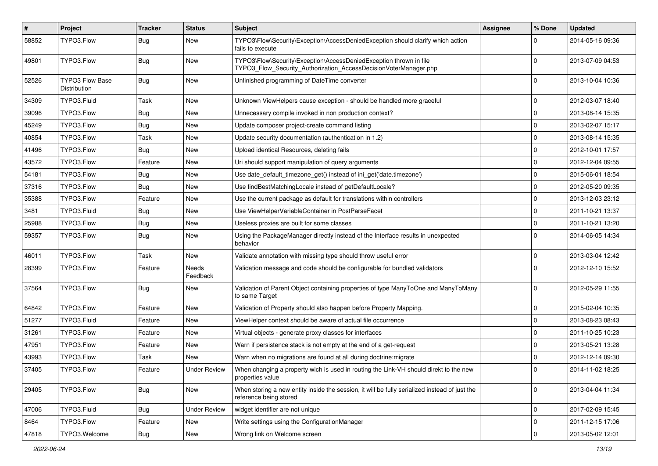| $\vert$ # | Project                                | <b>Tracker</b> | <b>Status</b>            | Subject                                                                                                                                | Assignee | % Done      | <b>Updated</b>   |
|-----------|----------------------------------------|----------------|--------------------------|----------------------------------------------------------------------------------------------------------------------------------------|----------|-------------|------------------|
| 58852     | TYPO3.Flow                             | <b>Bug</b>     | New                      | TYPO3\Flow\Security\Exception\AccessDeniedException should clarify which action<br>fails to execute                                    |          | $\Omega$    | 2014-05-16 09:36 |
| 49801     | TYPO3.Flow                             | Bug            | New                      | TYPO3\Flow\Security\Exception\AccessDeniedException thrown in file<br>TYPO3_Flow_Security_Authorization_AccessDecisionVoterManager.php |          | $\mathbf 0$ | 2013-07-09 04:53 |
| 52526     | TYPO3 Flow Base<br><b>Distribution</b> | Bug            | New                      | Unfinished programming of DateTime converter                                                                                           |          | 0           | 2013-10-04 10:36 |
| 34309     | TYPO3.Fluid                            | Task           | New                      | Unknown ViewHelpers cause exception - should be handled more graceful                                                                  |          | $\mathbf 0$ | 2012-03-07 18:40 |
| 39096     | TYPO3.Flow                             | <b>Bug</b>     | <b>New</b>               | Unnecessary compile invoked in non production context?                                                                                 |          | $\mathbf 0$ | 2013-08-14 15:35 |
| 45249     | TYPO3.Flow                             | <b>Bug</b>     | New                      | Update composer project-create command listing                                                                                         |          | $\mathbf 0$ | 2013-02-07 15:17 |
| 40854     | TYPO3.Flow                             | Task           | <b>New</b>               | Update security documentation (authentication in 1.2)                                                                                  |          | 0           | 2013-08-14 15:35 |
| 41496     | TYPO3.Flow                             | <b>Bug</b>     | New                      | Upload identical Resources, deleting fails                                                                                             |          | $\mathbf 0$ | 2012-10-01 17:57 |
| 43572     | TYPO3.Flow                             | Feature        | New                      | Uri should support manipulation of query arguments                                                                                     |          | $\mathbf 0$ | 2012-12-04 09:55 |
| 54181     | TYPO3.Flow                             | Bug            | New                      | Use date_default_timezone_get() instead of ini_get('date.timezone')                                                                    |          | 0           | 2015-06-01 18:54 |
| 37316     | TYPO3.Flow                             | <b>Bug</b>     | New                      | Use findBestMatchingLocale instead of getDefaultLocale?                                                                                |          | $\mathbf 0$ | 2012-05-20 09:35 |
| 35388     | TYPO3.Flow                             | Feature        | New                      | Use the current package as default for translations within controllers                                                                 |          | 0           | 2013-12-03 23:12 |
| 3481      | TYPO3.Fluid                            | Bug            | New                      | Use ViewHelperVariableContainer in PostParseFacet                                                                                      |          | 0           | 2011-10-21 13:37 |
| 25988     | TYPO3.Flow                             | <b>Bug</b>     | New                      | Useless proxies are built for some classes                                                                                             |          | 0           | 2011-10-21 13:20 |
| 59357     | TYPO3.Flow                             | Bug            | New                      | Using the PackageManager directly instead of the Interface results in unexpected<br>behavior                                           |          | $\Omega$    | 2014-06-05 14:34 |
| 46011     | TYPO3.Flow                             | Task           | New                      | Validate annotation with missing type should throw useful error                                                                        |          | 0           | 2013-03-04 12:42 |
| 28399     | TYPO3.Flow                             | Feature        | <b>Needs</b><br>Feedback | Validation message and code should be configurable for bundled validators                                                              |          | $\Omega$    | 2012-12-10 15:52 |
| 37564     | TYPO3.Flow                             | Bug            | New                      | Validation of Parent Object containing properties of type ManyToOne and ManyToMany<br>to same Target                                   |          | $\Omega$    | 2012-05-29 11:55 |
| 64842     | TYPO3.Flow                             | Feature        | New                      | Validation of Property should also happen before Property Mapping.                                                                     |          | 0           | 2015-02-04 10:35 |
| 51277     | TYPO3.Fluid                            | Feature        | New                      | ViewHelper context should be aware of actual file occurrence                                                                           |          | 0           | 2013-08-23 08:43 |
| 31261     | TYPO3.Flow                             | Feature        | New                      | Virtual objects - generate proxy classes for interfaces                                                                                |          | 0           | 2011-10-25 10:23 |
| 47951     | TYPO3.Flow                             | Feature        | New                      | Warn if persistence stack is not empty at the end of a get-request                                                                     |          | $\mathbf 0$ | 2013-05-21 13:28 |
| 43993     | TYPO3.Flow                             | Task           | <b>New</b>               | Warn when no migrations are found at all during doctrine: migrate                                                                      |          | $\mathbf 0$ | 2012-12-14 09:30 |
| 37405     | TYPO3.Flow                             | Feature        | <b>Under Review</b>      | When changing a property wich is used in routing the Link-VH should direkt to the new<br>properties value                              |          | $\Omega$    | 2014-11-02 18:25 |
| 29405     | TYPO3.Flow                             | Bug            | New                      | When storing a new entity inside the session, it will be fully serialized instead of just the<br>reference being stored                |          | $\mathbf 0$ | 2013-04-04 11:34 |
| 47006     | TYPO3.Fluid                            | <b>Bug</b>     | <b>Under Review</b>      | widget identifier are not unique                                                                                                       |          | $\mathbf 0$ | 2017-02-09 15:45 |
| 8464      | TYPO3.Flow                             | Feature        | New                      | Write settings using the ConfigurationManager                                                                                          |          | $\mathbf 0$ | 2011-12-15 17:06 |
| 47818     | TYPO3.Welcome                          | Bug            | New                      | Wrong link on Welcome screen                                                                                                           |          | $\mathbf 0$ | 2013-05-02 12:01 |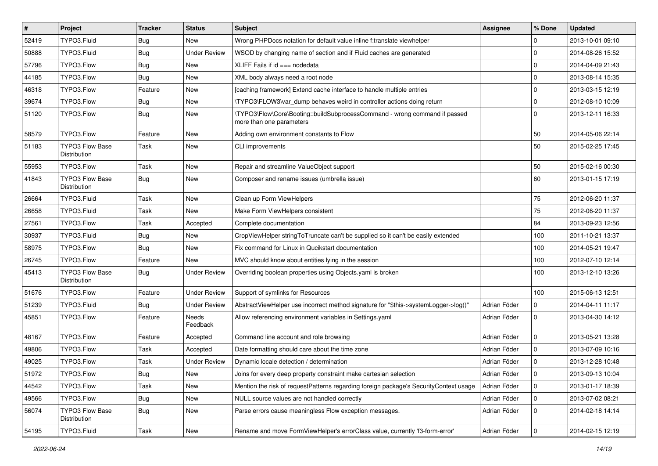| $\vert$ # | Project                                | <b>Tracker</b> | <b>Status</b>       | <b>Subject</b>                                                                                         | <b>Assignee</b> | % Done      | <b>Updated</b>   |
|-----------|----------------------------------------|----------------|---------------------|--------------------------------------------------------------------------------------------------------|-----------------|-------------|------------------|
| 52419     | TYPO3.Fluid                            | Bug            | New                 | Wrong PHPDocs notation for default value inline f:translate viewhelper                                 |                 | 0           | 2013-10-01 09:10 |
| 50888     | TYPO3.Fluid                            | Bug            | <b>Under Review</b> | WSOD by changing name of section and if Fluid caches are generated                                     |                 | $\mathbf 0$ | 2014-08-26 15:52 |
| 57796     | TYPO3.Flow                             | Bug            | New                 | XLIFF Fails if $id == node$                                                                            |                 | $\mathbf 0$ | 2014-04-09 21:43 |
| 44185     | TYPO3.Flow                             | Bug            | New                 | XML body always need a root node                                                                       |                 | $\mathbf 0$ | 2013-08-14 15:35 |
| 46318     | TYPO3.Flow                             | Feature        | New                 | [caching framework] Extend cache interface to handle multiple entries                                  |                 | $\mathbf 0$ | 2013-03-15 12:19 |
| 39674     | TYPO3.Flow                             | Bug            | New                 | \TYPO3\FLOW3\var_dump behaves weird in controller actions doing return                                 |                 | $\mathbf 0$ | 2012-08-10 10:09 |
| 51120     | TYPO3.Flow                             | Bug            | New                 | \TYPO3\Flow\Core\Booting::buildSubprocessCommand - wrong command if passed<br>more than one parameters |                 | $\Omega$    | 2013-12-11 16:33 |
| 58579     | TYPO3.Flow                             | Feature        | New                 | Adding own environment constants to Flow                                                               |                 | 50          | 2014-05-06 22:14 |
| 51183     | <b>TYPO3 Flow Base</b><br>Distribution | Task           | New                 | CLI improvements                                                                                       |                 | 50          | 2015-02-25 17:45 |
| 55953     | TYPO3.Flow                             | Task           | New                 | Repair and streamline ValueObject support                                                              |                 | 50          | 2015-02-16 00:30 |
| 41843     | TYPO3 Flow Base<br>Distribution        | Bug            | New                 | Composer and rename issues (umbrella issue)                                                            |                 | 60          | 2013-01-15 17:19 |
| 26664     | TYPO3.Fluid                            | Task           | New                 | Clean up Form ViewHelpers                                                                              |                 | 75          | 2012-06-20 11:37 |
| 26658     | TYPO3.Fluid                            | Task           | <b>New</b>          | Make Form ViewHelpers consistent                                                                       |                 | 75          | 2012-06-20 11:37 |
| 27561     | TYPO3.Flow                             | Task           | Accepted            | Complete documentation                                                                                 |                 | 84          | 2013-09-23 12:56 |
| 30937     | TYPO3.Fluid                            | Bug            | New                 | CropViewHelper stringToTruncate can't be supplied so it can't be easily extended                       |                 | 100         | 2011-10-21 13:37 |
| 58975     | TYPO3.Flow                             | Bug            | New                 | Fix command for Linux in Qucikstart documentation                                                      |                 | 100         | 2014-05-21 19:47 |
| 26745     | TYPO3.Flow                             | Feature        | New                 | MVC should know about entities lying in the session                                                    |                 | 100         | 2012-07-10 12:14 |
| 45413     | TYPO3 Flow Base<br>Distribution        | Bug            | <b>Under Review</b> | Overriding boolean properties using Objects.yaml is broken                                             |                 | 100         | 2013-12-10 13:26 |
| 51676     | TYPO3.Flow                             | Feature        | <b>Under Review</b> | Support of symlinks for Resources                                                                      |                 | 100         | 2015-06-13 12:51 |
| 51239     | TYPO3.Fluid                            | Bug            | <b>Under Review</b> | AbstractViewHelper use incorrect method signature for "\$this->systemLogger->log()"                    | Adrian Föder    | $\mathbf 0$ | 2014-04-11 11:17 |
| 45851     | TYPO3.Flow                             | Feature        | Needs<br>Feedback   | Allow referencing environment variables in Settings.yaml                                               | Adrian Föder    | 0           | 2013-04-30 14:12 |
| 48167     | TYPO3.Flow                             | Feature        | Accepted            | Command line account and role browsing                                                                 | Adrian Föder    | 0           | 2013-05-21 13:28 |
| 49806     | TYPO3.Flow                             | Task           | Accepted            | Date formatting should care about the time zone                                                        | Adrian Föder    | $\mathbf 0$ | 2013-07-09 10:16 |
| 49025     | TYPO3.Flow                             | Task           | <b>Under Review</b> | Dynamic locale detection / determination                                                               | Adrian Föder    | 0           | 2013-12-28 10:48 |
| 51972     | TYPO3.Flow                             | Bug            | New                 | Joins for every deep property constraint make cartesian selection                                      | Adrian Föder    | l 0         | 2013-09-13 10:04 |
| 44542     | TYPO3.Flow                             | Task           | New                 | Mention the risk of requestPatterns regarding foreign package's SecurityContext usage                  | Adrian Föder    | $\mathbf 0$ | 2013-01-17 18:39 |
| 49566     | TYPO3.Flow                             | <b>Bug</b>     | New                 | NULL source values are not handled correctly                                                           | Adrian Föder    | 0           | 2013-07-02 08:21 |
| 56074     | TYPO3 Flow Base<br>Distribution        | <b>Bug</b>     | New                 | Parse errors cause meaningless Flow exception messages.                                                | Adrian Föder    | 0           | 2014-02-18 14:14 |
| 54195     | TYPO3.Fluid                            | Task           | New                 | Rename and move FormViewHelper's errorClass value, currently 'f3-form-error'                           | Adrian Föder    | $\pmb{0}$   | 2014-02-15 12:19 |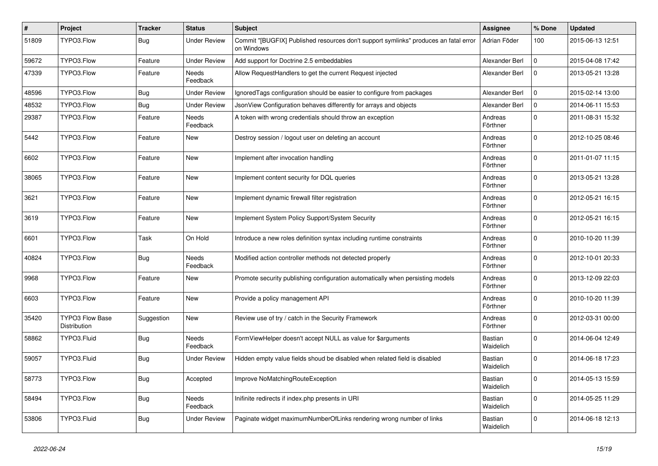| #     | Project                                | <b>Tracker</b> | <b>Status</b>       | Subject                                                                                            | <b>Assignee</b>             | % Done       | <b>Updated</b>   |
|-------|----------------------------------------|----------------|---------------------|----------------------------------------------------------------------------------------------------|-----------------------------|--------------|------------------|
| 51809 | TYPO3.Flow                             | Bug            | <b>Under Review</b> | Commit "[BUGFIX] Published resources don't support symlinks" produces an fatal error<br>on Windows | Adrian Föder                | 100          | 2015-06-13 12:51 |
| 59672 | TYPO3.Flow                             | Feature        | <b>Under Review</b> | Add support for Doctrine 2.5 embeddables                                                           | Alexander Berl              | $\Omega$     | 2015-04-08 17:42 |
| 47339 | TYPO3.Flow                             | Feature        | Needs<br>Feedback   | Allow RequestHandlers to get the current Request injected                                          | Alexander Berl              | $\Omega$     | 2013-05-21 13:28 |
| 48596 | TYPO3.Flow                             | <b>Bug</b>     | <b>Under Review</b> | Ignored Tags configuration should be easier to configure from packages                             | Alexander Berl              | $\mathbf 0$  | 2015-02-14 13:00 |
| 48532 | TYPO3.Flow                             | Bug            | <b>Under Review</b> | JsonView Configuration behaves differently for arrays and objects                                  | Alexander Berl              | $\mathbf{0}$ | 2014-06-11 15:53 |
| 29387 | TYPO3.Flow                             | Feature        | Needs<br>Feedback   | A token with wrong credentials should throw an exception                                           | Andreas<br>Förthner         | $\Omega$     | 2011-08-31 15:32 |
| 5442  | TYPO3.Flow                             | Feature        | <b>New</b>          | Destroy session / logout user on deleting an account                                               | Andreas<br>Förthner         | $\Omega$     | 2012-10-25 08:46 |
| 6602  | TYPO3.Flow                             | Feature        | <b>New</b>          | Implement after invocation handling                                                                | Andreas<br>Förthner         | $\Omega$     | 2011-01-07 11:15 |
| 38065 | TYPO3.Flow                             | Feature        | <b>New</b>          | Implement content security for DQL queries                                                         | Andreas<br>Förthner         | $\Omega$     | 2013-05-21 13:28 |
| 3621  | TYPO3.Flow                             | Feature        | New                 | Implement dynamic firewall filter registration                                                     | Andreas<br>Förthner         | $\Omega$     | 2012-05-21 16:15 |
| 3619  | TYPO3.Flow                             | Feature        | New                 | Implement System Policy Support/System Security                                                    | Andreas<br>Förthner         | $\mathbf 0$  | 2012-05-21 16:15 |
| 6601  | TYPO3.Flow                             | Task           | On Hold             | Introduce a new roles definition syntax including runtime constraints                              | Andreas<br>Förthner         | $\mathbf 0$  | 2010-10-20 11:39 |
| 40824 | TYPO3.Flow                             | <b>Bug</b>     | Needs<br>Feedback   | Modified action controller methods not detected properly                                           | Andreas<br>Förthner         | $\Omega$     | 2012-10-01 20:33 |
| 9968  | TYPO3.Flow                             | Feature        | New                 | Promote security publishing configuration automatically when persisting models                     | Andreas<br>Förthner         | $\Omega$     | 2013-12-09 22:03 |
| 6603  | TYPO3.Flow                             | Feature        | <b>New</b>          | Provide a policy management API                                                                    | Andreas<br>Förthner         | $\Omega$     | 2010-10-20 11:39 |
| 35420 | <b>TYPO3 Flow Base</b><br>Distribution | Suggestion     | New                 | Review use of try / catch in the Security Framework                                                | Andreas<br>Förthner         | $\Omega$     | 2012-03-31 00:00 |
| 58862 | TYPO3.Fluid                            | <b>Bug</b>     | Needs<br>Feedback   | FormViewHelper doesn't accept NULL as value for \$arguments                                        | <b>Bastian</b><br>Waidelich | $\Omega$     | 2014-06-04 12:49 |
| 59057 | TYPO3.Fluid                            | Bug            | Under Review        | Hidden empty value fields shoud be disabled when related field is disabled                         | Bastian<br>Waidelich        | $\Omega$     | 2014-06-18 17:23 |
| 58773 | TYPO3.Flow                             | <b>Bug</b>     | Accepted            | Improve NoMatchingRouteException                                                                   | Bastian<br>Waidelich        | 0            | 2014-05-13 15:59 |
| 58494 | TYPO3.Flow                             | <b>Bug</b>     | Needs<br>Feedback   | Inifinite redirects if index.php presents in URI                                                   | Bastian<br>Waidelich        | $\mathbf 0$  | 2014-05-25 11:29 |
| 53806 | TYPO3.Fluid                            | <b>Bug</b>     | <b>Under Review</b> | Paginate widget maximumNumberOfLinks rendering wrong number of links                               | <b>Bastian</b><br>Waidelich | 0            | 2014-06-18 12:13 |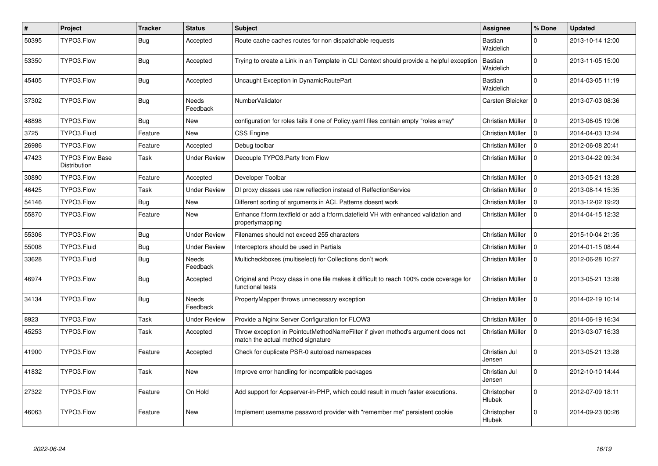| $\vert$ # | Project                                | <b>Tracker</b> | <b>Status</b>       | <b>Subject</b>                                                                                                       | Assignee                | % Done       | <b>Updated</b>   |
|-----------|----------------------------------------|----------------|---------------------|----------------------------------------------------------------------------------------------------------------------|-------------------------|--------------|------------------|
| 50395     | TYPO3.Flow                             | Bug            | Accepted            | Route cache caches routes for non dispatchable requests                                                              | Bastian<br>Waidelich    | $\Omega$     | 2013-10-14 12:00 |
| 53350     | TYPO3.Flow                             | <b>Bug</b>     | Accepted            | Trying to create a Link in an Template in CLI Context should provide a helpful exception                             | Bastian<br>Waidelich    | $\Omega$     | 2013-11-05 15:00 |
| 45405     | TYPO3.Flow                             | <b>Bug</b>     | Accepted            | Uncaught Exception in DynamicRoutePart                                                                               | Bastian<br>Waidelich    | $\Omega$     | 2014-03-05 11:19 |
| 37302     | TYPO3.Flow                             | <b>Bug</b>     | Needs<br>Feedback   | NumberValidator                                                                                                      | Carsten Bleicker   0    |              | 2013-07-03 08:36 |
| 48898     | TYPO3.Flow                             | <b>Bug</b>     | New                 | configuration for roles fails if one of Policy yaml files contain empty "roles array"                                | Christian Müller        | $\Omega$     | 2013-06-05 19:06 |
| 3725      | TYPO3.Fluid                            | Feature        | <b>New</b>          | <b>CSS Engine</b>                                                                                                    | Christian Müller        | $\Omega$     | 2014-04-03 13:24 |
| 26986     | TYPO3.Flow                             | Feature        | Accepted            | Debug toolbar                                                                                                        | Christian Müller        | $\Omega$     | 2012-06-08 20:41 |
| 47423     | <b>TYPO3 Flow Base</b><br>Distribution | Task           | Under Review        | Decouple TYPO3.Party from Flow                                                                                       | Christian Müller        | $\Omega$     | 2013-04-22 09:34 |
| 30890     | TYPO3.Flow                             | Feature        | Accepted            | Developer Toolbar                                                                                                    | Christian Müller        | $\Omega$     | 2013-05-21 13:28 |
| 46425     | TYPO3.Flow                             | Task           | Under Review        | DI proxy classes use raw reflection instead of RelfectionService                                                     | Christian Müller        | $\Omega$     | 2013-08-14 15:35 |
| 54146     | TYPO3.Flow                             | Bug            | <b>New</b>          | Different sorting of arguments in ACL Patterns doesnt work                                                           | Christian Müller        | $\Omega$     | 2013-12-02 19:23 |
| 55870     | TYPO3.Flow                             | Feature        | New                 | Enhance f:form.textfield or add a f:form.datefield VH with enhanced validation and<br>propertymapping                | Christian Müller        | $\Omega$     | 2014-04-15 12:32 |
| 55306     | TYPO3.Flow                             | Bug            | <b>Under Review</b> | Filenames should not exceed 255 characters                                                                           | Christian Müller        | 0            | 2015-10-04 21:35 |
| 55008     | TYPO3.Fluid                            | <b>Bug</b>     | Under Review        | Interceptors should be used in Partials                                                                              | Christian Müller        | $\Omega$     | 2014-01-15 08:44 |
| 33628     | TYPO3.Fluid                            | Bug            | Needs<br>Feedback   | Multicheckboxes (multiselect) for Collections don't work                                                             | Christian Müller        | 0            | 2012-06-28 10:27 |
| 46974     | TYPO3.Flow                             | <b>Bug</b>     | Accepted            | Original and Proxy class in one file makes it difficult to reach 100% code coverage for<br>functional tests          | Christian Müller        | $\Omega$     | 2013-05-21 13:28 |
| 34134     | TYPO3.Flow                             | <b>Bug</b>     | Needs<br>Feedback   | PropertyMapper throws unnecessary exception                                                                          | Christian Müller        | $\Omega$     | 2014-02-19 10:14 |
| 8923      | TYPO3.Flow                             | Task           | <b>Under Review</b> | Provide a Nginx Server Configuration for FLOW3                                                                       | Christian Müller        | $\Omega$     | 2014-06-19 16:34 |
| 45253     | TYPO3.Flow                             | Task           | Accepted            | Throw exception in PointcutMethodNameFilter if given method's argument does not<br>match the actual method signature | Christian Müller        | $\mathbf 0$  | 2013-03-07 16:33 |
| 41900     | TYPO3.Flow                             | Feature        | Accepted            | Check for duplicate PSR-0 autoload namespaces                                                                        | Christian Jul<br>Jensen | $\Omega$     | 2013-05-21 13:28 |
| 41832     | TYPO3.Flow                             | Task           | New                 | Improve error handling for incompatible packages                                                                     | Christian Jul<br>Jensen | $\mathbf{0}$ | 2012-10-10 14:44 |
| 27322     | TYPO3.Flow                             | Feature        | On Hold             | Add support for Appserver-in-PHP, which could result in much faster executions.                                      | Christopher<br>Hlubek   | $\mathbf 0$  | 2012-07-09 18:11 |
| 46063     | TYPO3.Flow                             | Feature        | New                 | Implement username password provider with "remember me" persistent cookie                                            | Christopher<br>Hlubek   | $\Omega$     | 2014-09-23 00:26 |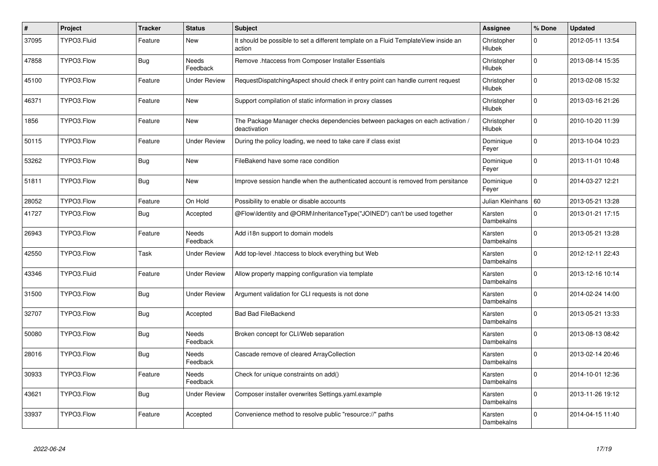| $\vert$ # | Project     | <b>Tracker</b> | <b>Status</b>       | <b>Subject</b>                                                                                | Assignee                     | % Done      | <b>Updated</b>   |
|-----------|-------------|----------------|---------------------|-----------------------------------------------------------------------------------------------|------------------------------|-------------|------------------|
| 37095     | TYPO3.Fluid | Feature        | New                 | It should be possible to set a different template on a Fluid TemplateView inside an<br>action | Christopher<br>Hlubek        | 0           | 2012-05-11 13:54 |
| 47858     | TYPO3.Flow  | <b>Bug</b>     | Needs<br>Feedback   | Remove .htaccess from Composer Installer Essentials                                           | Christopher<br>Hlubek        | $\Omega$    | 2013-08-14 15:35 |
| 45100     | TYPO3.Flow  | Feature        | Under Review        | RequestDispatchingAspect should check if entry point can handle current request               | Christopher<br>Hlubek        | $\Omega$    | 2013-02-08 15:32 |
| 46371     | TYPO3.Flow  | Feature        | <b>New</b>          | Support compilation of static information in proxy classes                                    | Christopher<br>Hlubek        | $\mathbf 0$ | 2013-03-16 21:26 |
| 1856      | TYPO3.Flow  | Feature        | <b>New</b>          | The Package Manager checks dependencies between packages on each activation /<br>deactivation | Christopher<br><b>Hlubek</b> | $\mathbf 0$ | 2010-10-20 11:39 |
| 50115     | TYPO3.Flow  | Feature        | Under Review        | During the policy loading, we need to take care if class exist                                | Dominique<br>Feyer           | $\mathbf 0$ | 2013-10-04 10:23 |
| 53262     | TYPO3.Flow  | Bug            | New                 | FileBakend have some race condition                                                           | Dominique<br>Feyer           | $\Omega$    | 2013-11-01 10:48 |
| 51811     | TYPO3.Flow  | <b>Bug</b>     | <b>New</b>          | Improve session handle when the authenticated account is removed from persitance              | Dominique<br>Feyer           | $\Omega$    | 2014-03-27 12:21 |
| 28052     | TYPO3.Flow  | Feature        | On Hold             | Possibility to enable or disable accounts                                                     | Julian Kleinhans   60        |             | 2013-05-21 13:28 |
| 41727     | TYPO3.Flow  | <b>Bug</b>     | Accepted            | @Flow\Identity and @ORM\InheritanceType("JOINED") can't be used together                      | Karsten<br>Dambekalns        | $\Omega$    | 2013-01-21 17:15 |
| 26943     | TYPO3.Flow  | Feature        | Needs<br>Feedback   | Add i18n support to domain models                                                             | Karsten<br>Dambekalns        | 0           | 2013-05-21 13:28 |
| 42550     | TYPO3.Flow  | Task           | Under Review        | Add top-level .htaccess to block everything but Web                                           | Karsten<br>Dambekalns        | $\Omega$    | 2012-12-11 22:43 |
| 43346     | TYPO3.Fluid | Feature        | Under Review        | Allow property mapping configuration via template                                             | Karsten<br>Dambekalns        | $\Omega$    | 2013-12-16 10:14 |
| 31500     | TYPO3.Flow  | <b>Bug</b>     | <b>Under Review</b> | Argument validation for CLI requests is not done                                              | Karsten<br>Dambekalns        | $\Omega$    | 2014-02-24 14:00 |
| 32707     | TYPO3.Flow  | Bug            | Accepted            | <b>Bad Bad FileBackend</b>                                                                    | Karsten<br>Dambekalns        | $\Omega$    | 2013-05-21 13:33 |
| 50080     | TYPO3.Flow  | <b>Bug</b>     | Needs<br>Feedback   | Broken concept for CLI/Web separation                                                         | Karsten<br>Dambekalns        | $\Omega$    | 2013-08-13 08:42 |
| 28016     | TYPO3.Flow  | Bug            | Needs<br>Feedback   | Cascade remove of cleared Array Collection                                                    | Karsten<br>Dambekalns        | $\Omega$    | 2013-02-14 20:46 |
| 30933     | TYPO3.Flow  | Feature        | Needs<br>Feedback   | Check for unique constraints on add()                                                         | Karsten<br>Dambekalns        | $\Omega$    | 2014-10-01 12:36 |
| 43621     | TYPO3.Flow  | <b>Bug</b>     | <b>Under Review</b> | Composer installer overwrites Settings.yaml.example                                           | Karsten<br>Dambekalns        | $\Omega$    | 2013-11-26 19:12 |
| 33937     | TYPO3.Flow  | Feature        | Accepted            | Convenience method to resolve public "resource://" paths                                      | Karsten<br>Dambekalns        | $\mathbf 0$ | 2014-04-15 11:40 |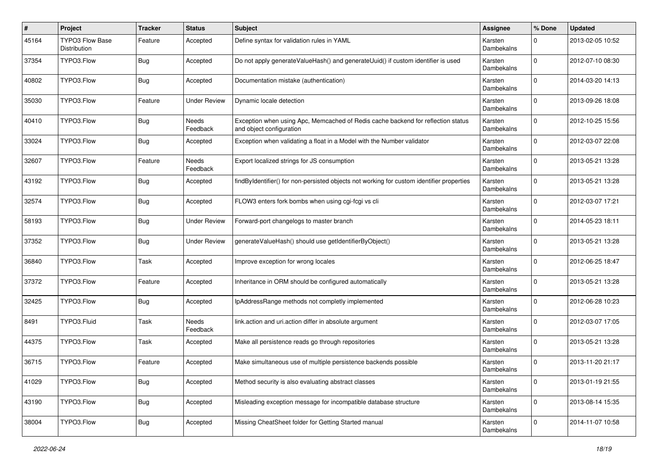| #     | Project                         | <b>Tracker</b> | <b>Status</b>       | Subject                                                                                                      | <b>Assignee</b>              | % Done      | <b>Updated</b>   |
|-------|---------------------------------|----------------|---------------------|--------------------------------------------------------------------------------------------------------------|------------------------------|-------------|------------------|
| 45164 | TYPO3 Flow Base<br>Distribution | Feature        | Accepted            | Define syntax for validation rules in YAML                                                                   | Karsten<br>Dambekalns        | $\Omega$    | 2013-02-05 10:52 |
| 37354 | TYPO3.Flow                      | <b>Bug</b>     | Accepted            | Do not apply generateValueHash() and generateUuid() if custom identifier is used                             | Karsten<br>Dambekalns        | $\Omega$    | 2012-07-10 08:30 |
| 40802 | TYPO3.Flow                      | <b>Bug</b>     | Accepted            | Documentation mistake (authentication)                                                                       | Karsten<br>Dambekalns        | $\Omega$    | 2014-03-20 14:13 |
| 35030 | TYPO3.Flow                      | Feature        | <b>Under Review</b> | Dynamic locale detection                                                                                     | Karsten<br>Dambekalns        | $\Omega$    | 2013-09-26 18:08 |
| 40410 | TYPO3.Flow                      | <b>Bug</b>     | Needs<br>Feedback   | Exception when using Apc, Memcached of Redis cache backend for reflection status<br>and object configuration | Karsten<br>Dambekalns        | $\Omega$    | 2012-10-25 15:56 |
| 33024 | TYPO3.Flow                      | <b>Bug</b>     | Accepted            | Exception when validating a float in a Model with the Number validator                                       | Karsten<br>Dambekalns        | $\Omega$    | 2012-03-07 22:08 |
| 32607 | TYPO3.Flow                      | Feature        | Needs<br>Feedback   | Export localized strings for JS consumption                                                                  | Karsten<br>Dambekalns        | $\Omega$    | 2013-05-21 13:28 |
| 43192 | TYPO3.Flow                      | Bug            | Accepted            | findByIdentifier() for non-persisted objects not working for custom identifier properties                    | Karsten<br>Dambekalns        | $\Omega$    | 2013-05-21 13:28 |
| 32574 | TYPO3.Flow                      | <b>Bug</b>     | Accepted            | FLOW3 enters fork bombs when using cgi-fcgi vs cli                                                           | Karsten<br>Dambekalns        | $\Omega$    | 2012-03-07 17:21 |
| 58193 | TYPO3.Flow                      | <b>Bug</b>     | <b>Under Review</b> | Forward-port changelogs to master branch                                                                     | Karsten<br>Dambekalns        | $\Omega$    | 2014-05-23 18:11 |
| 37352 | TYPO3.Flow                      | <b>Bug</b>     | <b>Under Review</b> | generateValueHash() should use getIdentifierByObject()                                                       | Karsten<br>Dambekalns        | $\Omega$    | 2013-05-21 13:28 |
| 36840 | TYPO3.Flow                      | Task           | Accepted            | Improve exception for wrong locales                                                                          | Karsten<br>Dambekalns        | $\Omega$    | 2012-06-25 18:47 |
| 37372 | TYPO3.Flow                      | Feature        | Accepted            | Inheritance in ORM should be configured automatically                                                        | Karsten<br>Dambekalns        | $\Omega$    | 2013-05-21 13:28 |
| 32425 | TYPO3.Flow                      | <b>Bug</b>     | Accepted            | IpAddressRange methods not completly implemented                                                             | Karsten<br>Dambekalns        | $\Omega$    | 2012-06-28 10:23 |
| 8491  | TYPO3.Fluid                     | Task           | Needs<br>Feedback   | link.action and uri.action differ in absolute argument                                                       | Karsten<br>Dambekalns        | $\Omega$    | 2012-03-07 17:05 |
| 44375 | TYPO3.Flow                      | Task           | Accepted            | Make all persistence reads go through repositories                                                           | Karsten<br><b>Dambekalns</b> | $\mathbf 0$ | 2013-05-21 13:28 |
| 36715 | TYPO3.Flow                      | Feature        | Accepted            | Make simultaneous use of multiple persistence backends possible                                              | Karsten<br>Dambekalns        | $\Omega$    | 2013-11-20 21:17 |
| 41029 | TYPO3.Flow                      | <b>Bug</b>     | Accepted            | Method security is also evaluating abstract classes                                                          | Karsten<br>Dambekalns        | $\mathbf 0$ | 2013-01-19 21:55 |
| 43190 | TYPO3.Flow                      | <b>Bug</b>     | Accepted            | Misleading exception message for incompatible database structure                                             | Karsten<br>Dambekalns        | $\mathbf 0$ | 2013-08-14 15:35 |
| 38004 | TYPO3.Flow                      | <b>Bug</b>     | Accepted            | Missing CheatSheet folder for Getting Started manual                                                         | Karsten<br>Dambekalns        | 0           | 2014-11-07 10:58 |